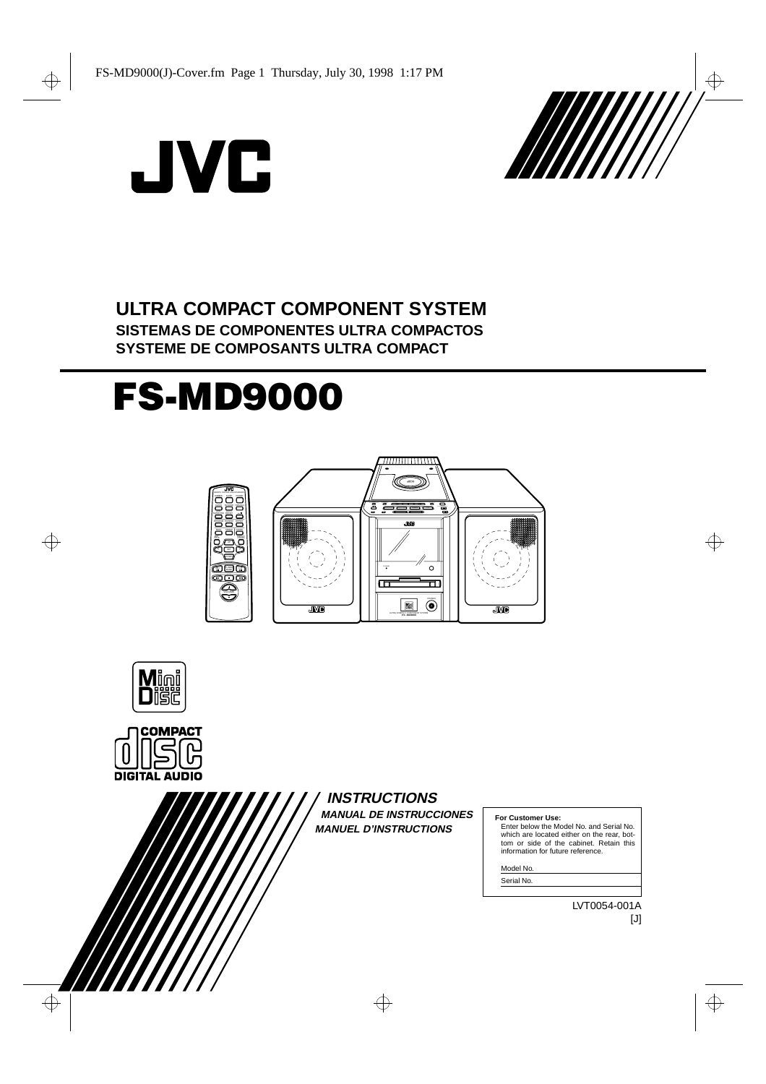



#### **ULTRA COMPACT COMPONENT SYSTEM SISTEMAS DE COMPONENTES ULTRA COMPACTOS SYSTEME DE COMPOSANTS ULTRA COMPACT**

## **FS-MD9000**









**INSTRUCTIONS**

**MANUAL DE INSTRUCCIONES MANUEL D'INSTRUCTIONS**

**For Customer Use:**

Enter below the Model No. and Serial No. which are located either on the rear, bot-tom or side of the cabinet. Retain this information for future reference.

Model No.

Serial No.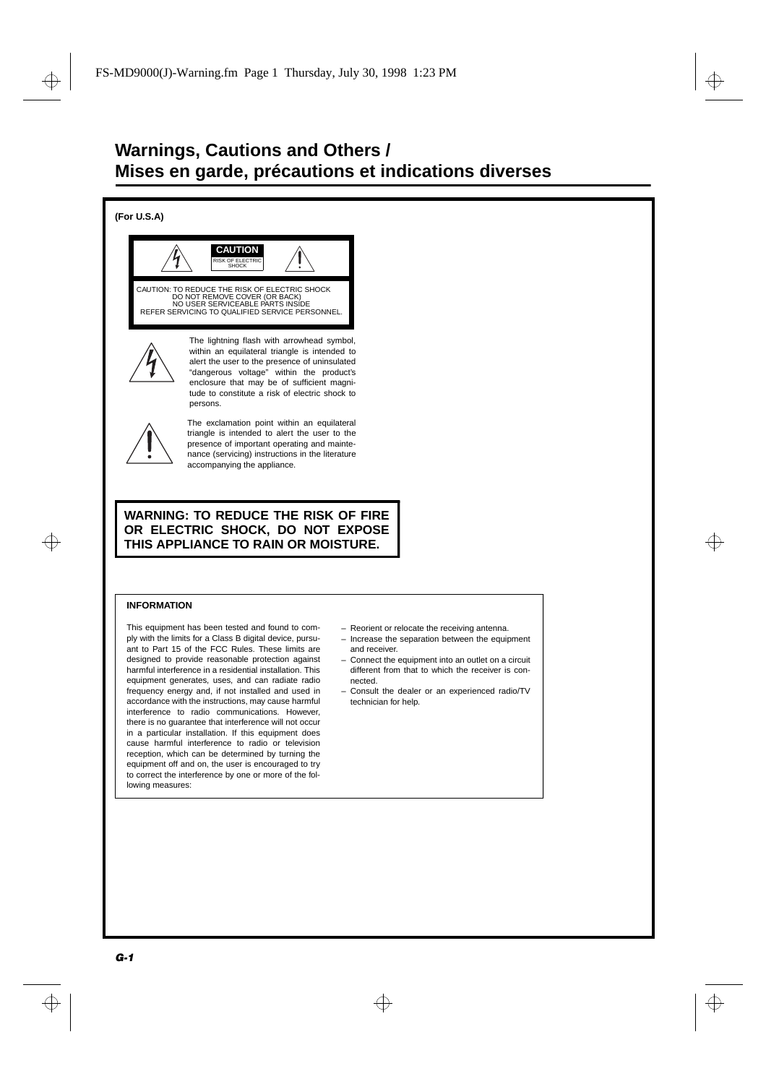#### **Warnings, Cautions and Others / Mises en garde, précautions et indications diverses**

**(For U.S.A)**





The lightning flash with arrowhead symbol, within an equilateral triangle is intended to alert the user to the presence of uninsulated "dangerous voltage" within the product's enclosure that may be of sufficient magnitude to constitute a risk of electric shock to persons.



The exclamation point within an equilateral triangle is intended to alert the user to the presence of important operating and maintenance (servicing) instructions in the literature accompanying the appliance.

**WARNING: TO REDUCE THE RISK OF FIRE OR ELECTRIC SHOCK, DO NOT EXPOSE THIS APPLIANCE TO RAIN OR MOISTURE.**

#### **INFORMATION**

This equipment has been tested and found to comply with the limits for a Class B digital device, pursuant to Part 15 of the FCC Rules. These limits are designed to provide reasonable protection against harmful interference in a residential installation. This equipment generates, uses, and can radiate radio frequency energy and, if not installed and used in accordance with the instructions, may cause harmful interference to radio communications. However, there is no guarantee that interference will not occur in a particular installation. If this equipment does cause harmful interference to radio or television reception, which can be determined by turning the equipment off and on, the user is encouraged to try to correct the interference by one or more of the following measures:

- Reorient or relocate the receiving antenna.
- Increase the separation between the equipment and receiver.
- Connect the equipment into an outlet on a circuit different from that to which the receiver is connected.
- Consult the dealer or an experienced radio/TV technician for help.

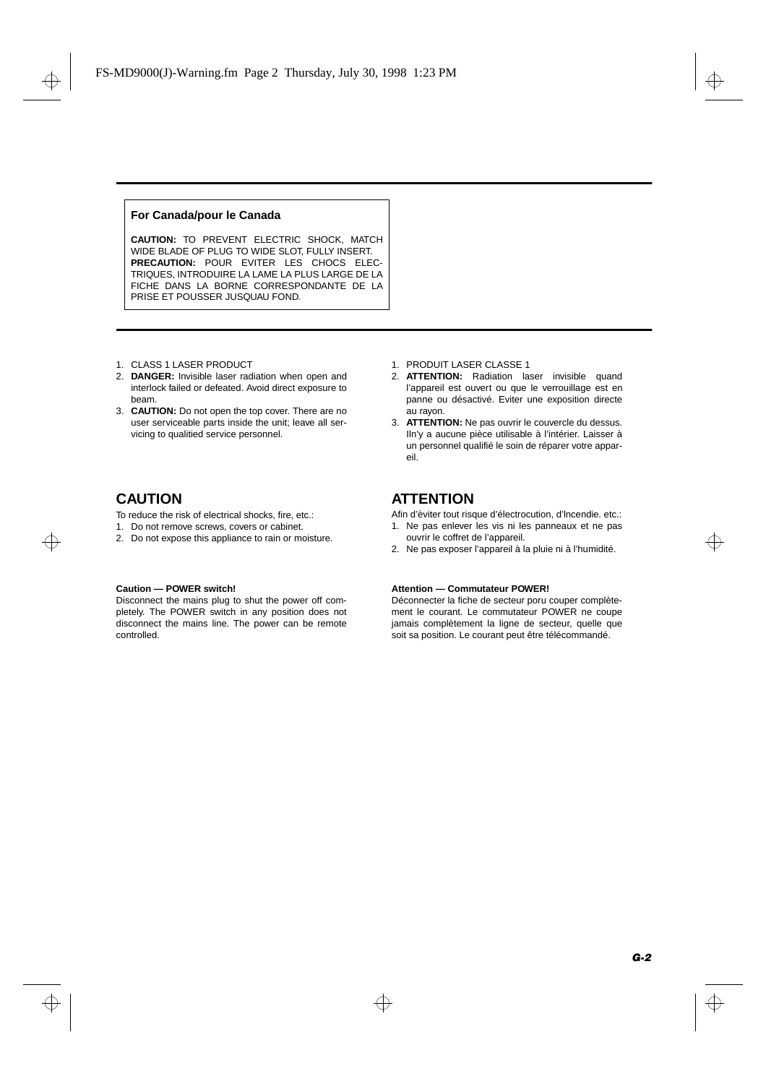#### **For Canada/pour le Canada**

**CAUTION:** TO PREVENT ELECTRIC SHOCK, MATCH WIDE BLADE OF PLUG TO WIDE SLOT, FULLY INSERT. **PRECAUTION:** POUR EVITER LES CHOCS ELEC-TRIQUES, INTRODUIRE LA LAME LA PLUS LARGE DE LA FICHE DANS LA BORNE CORRESPONDANTE DE LA PRISE ET POUSSER JUSQUAU FOND.

- 1. CLASS 1 LASER PRODUCT
- 2. **DANGER:** Invisible laser radiation when open and interlock failed or defeated. Avoid direct exposure to beam.
- 3. **CAUTION:** Do not open the top cover. There are no user serviceable parts inside the unit; leave all servicing to qualitied service personnel.

#### **CAUTION**

To reduce the risk of electrical shocks, fire, etc.:

- 1. Do not remove screws, covers or cabinet.
- 2. Do not expose this appliance to rain or moisture.

#### **Caution — POWER switch!**

Disconnect the mains plug to shut the power off completely. The POWER switch in any position does not disconnect the mains line. The power can be remote controlled.

- 1. PRODUIT LASER CLASSE 1
- 2. **ATTENTION:** Radiation laser invisible quand l'appareil est ouvert ou que le verrouillage est en panne ou désactivé. Eviter une exposition directe au rayon.
- 3. **ATTENTION:** Ne pas ouvrir le couvercle du dessus. Iln'y a aucune pièce utilisable à l'intérier. Laisser à un personnel qualifié le soin de réparer votre appareil.

#### **ATTENTION**

Afin d'èviter tout risque d'électrocution, d'lncendie. etc.:

- 1. Ne pas enlever les vis ni les panneaux et ne pas ouvrir le coffret de l'appareil.
- 2. Ne pas exposer l'appareil à la pluie ni à l'humidité.

#### **Attention — Commutateur POWER!**

Déconnecter la fiche de secteur poru couper complètement le courant. Le commutateur POWER ne coupe jamais complètement la ligne de secteur, quelle que soit sa position. Le courant peut être télécommandé.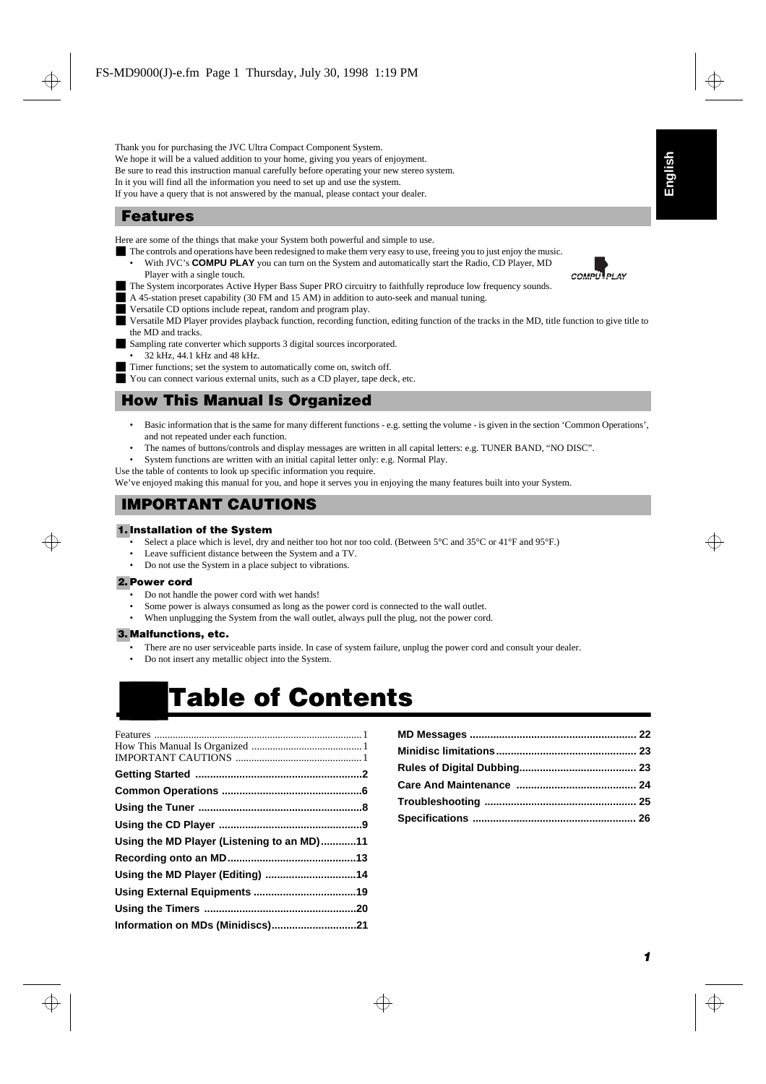Thank you for purchasing the JVC Ultra Compact Component System. We hope it will be a valued addition to your home, giving you years of enjoyment. Be sure to read this instruction manual carefully before operating your new stereo system.

In it you will find all the information you need to set up and use the system.

If you have a query that is not answered by the manual, please contact your dealer.

#### **Features**

Here are some of the things that make your System both powerful and simple to use.

- The controls and operations have been redesigned to make them very easy to use, freeing you to just enjoy the music. • With JVC's **COMPU PLAY** you can turn on the System and automatically start the Radio, CD Player, MD
- Player with a single touch. ■ The System incorporates Active Hyper Bass Super PRO circuitry to faithfully reproduce low frequency sounds.
- A 45-station preset capability (30 FM and 15 AM) in addition to auto-seek and manual tuning.
- Versatile CD options include repeat, random and program play.
- Versatile MD Player provides playback function, recording function, editing function of the tracks in the MD, title function to give title to the MD and tracks.
- Sampling rate converter which supports 3 digital sources incorporated.
	- 32 kHz, 44.1 kHz and 48 kHz.
- Timer functions; set the system to automatically come on, switch off.
- You can connect various external units, such as a CD player, tape deck, etc.

#### **How This Manual Is Organized**

- Basic information that is the same for many different functions e.g. setting the volume is given in the section 'Common Operations', and not repeated under each function.
- The names of buttons/controls and display messages are written in all capital letters: e.g. TUNER BAND, "NO DISC".
- System functions are written with an initial capital letter only: e.g. Normal Play.

Use the table of contents to look up specific information you require.

We've enjoyed making this manual for you, and hope it serves you in enjoying the many features built into your System.

#### **IMPORTANT CAUTIONS**

#### **1. Installation of the System**

- Select a place which is level, dry and neither too hot nor too cold. (Between 5°C and 35°C or 41°F and 95°F.)
- Leave sufficient distance between the System and a TV.
- Do not use the System in a place subject to vibrations.

#### **2. Power cord**

- Do not handle the power cord with wet hands!
- Some power is always consumed as long as the power cord is connected to the wall outlet.
- When unplugging the System from the wall outlet, always pull the plug, not the power cord.

#### ■**3. Malfunctions, etc.**

- There are no user serviceable parts inside. In case of system failure, unplug the power cord and consult your dealer.
- Do not insert any metallic object into the System.

## **Table of Contents**

| Using the MD Player (Listening to an MD)11 |
|--------------------------------------------|
|                                            |
| Using the MD Player (Editing) 14           |
|                                            |
|                                            |
| Information on MDs (Minidiscs)21           |

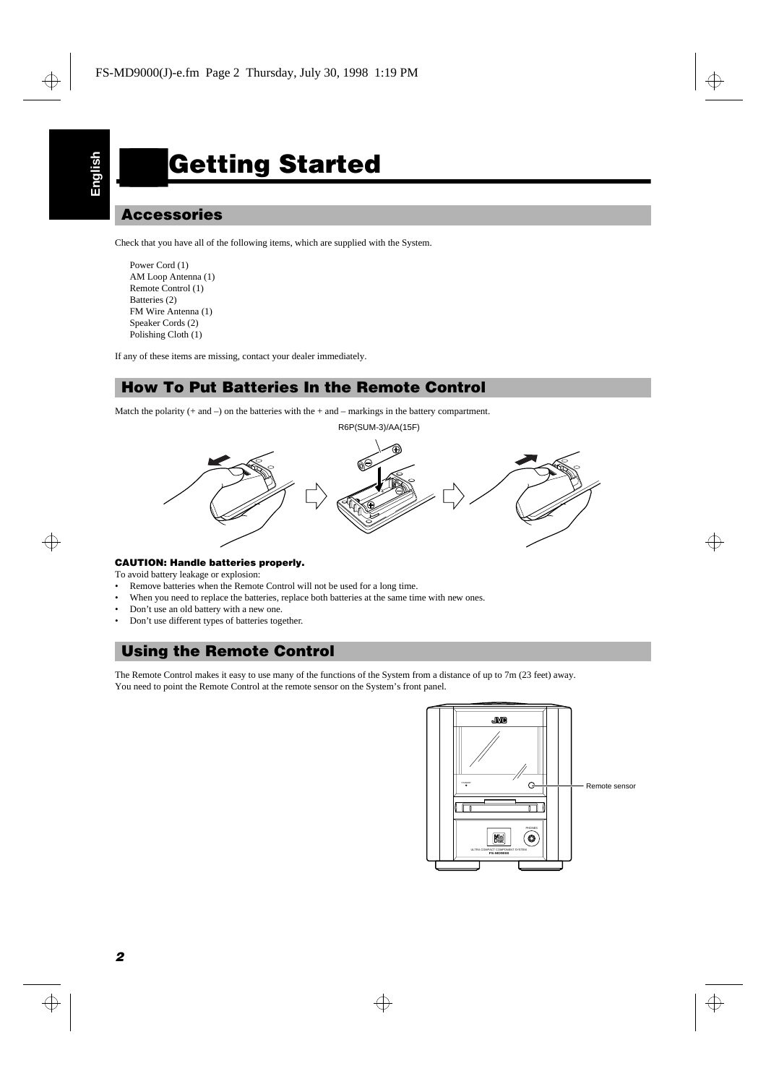#### **Accessories**

Check that you have all of the following items, which are supplied with the System.

Power Cord (1) AM Loop Antenna (1) Remote Control (1) Batteries (2) FM Wire Antenna (1) Speaker Cords (2) Polishing Cloth (1)

If any of these items are missing, contact your dealer immediately.

#### **How To Put Batteries In the Remote Control**

Match the polarity  $(+$  and  $-)$  on the batteries with the  $+$  and  $-$  markings in the battery compartment.



#### **CAUTION: Handle batteries properly.**

To avoid battery leakage or explosion:

- Remove batteries when the Remote Control will not be used for a long time.
- When you need to replace the batteries, replace both batteries at the same time with new ones.
- Don't use an old battery with a new one.
- Don't use different types of batteries together.

#### **Using the Remote Control**

The Remote Control makes it easy to use many of the functions of the System from a distance of up to 7m (23 feet) away. You need to point the Remote Control at the remote sensor on the System's front panel.

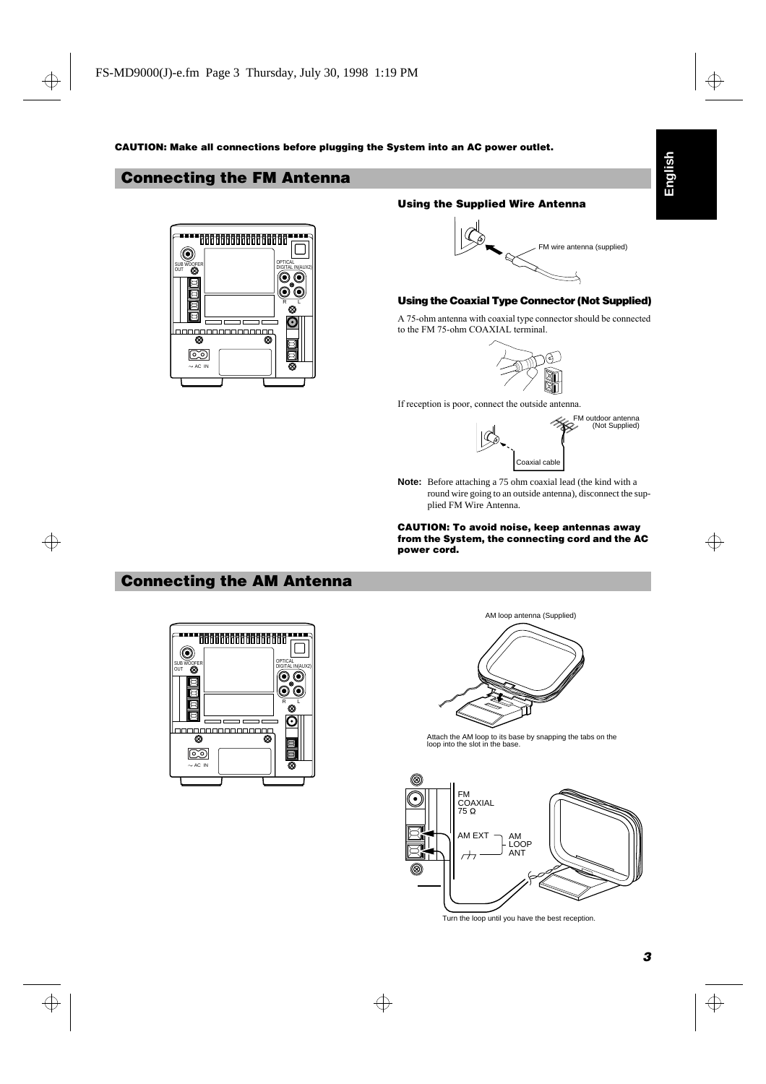#### **Connecting the FM Antenna**



#### **Using the Supplied Wire Antenna**



#### **Using the Coaxial Type Connector (Not Supplied)**

A 75-ohm antenna with coaxial type connector should be connected to the FM 75-ohm COAXIAL terminal.



If reception is poor, connect the outside antenna.



**Note:** Before attaching a 75 ohm coaxial lead (the kind with a round wire going to an outside antenna), disconnect the supplied FM Wire Antenna.

**CAUTION: To avoid noise, keep antennas away from the System, the connecting cord and the AC power cord.** 

#### **Connecting the AM Antenna**



AM loop antenna (Supplied)



Attach the AM loop to its base by snapping the tabs on the loop into the slot in the base.



Turn the loop until you have the best reception.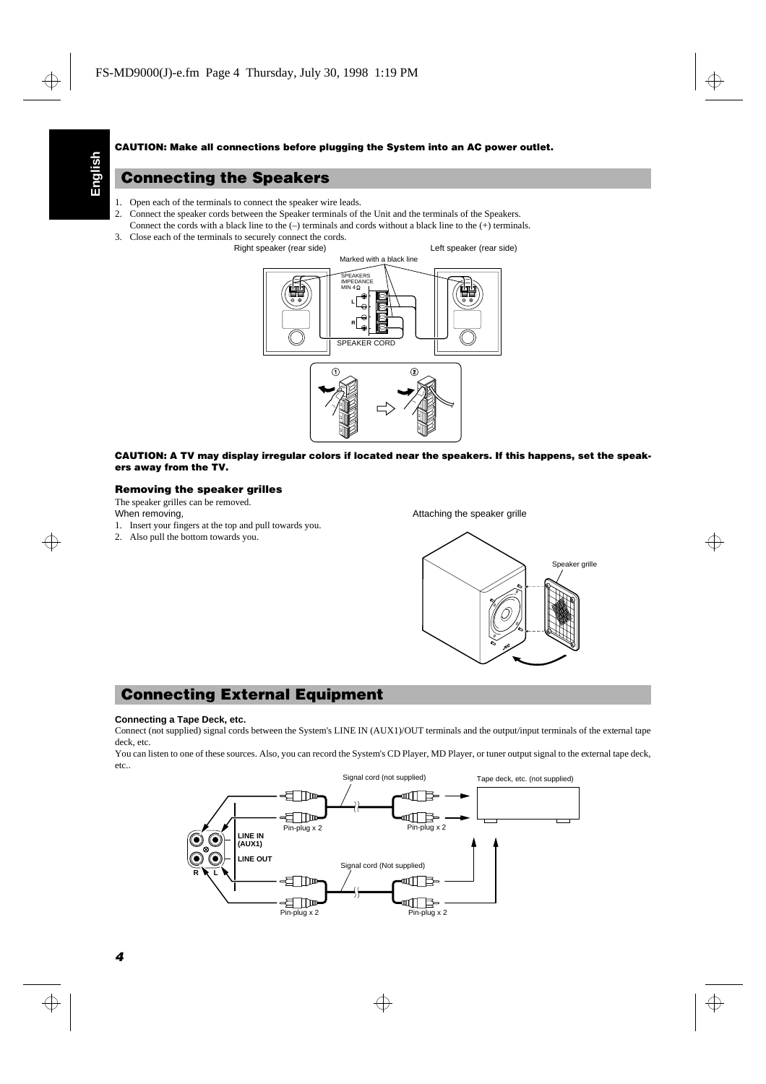#### **Connecting the Speakers**

- 1. Open each of the terminals to connect the speaker wire leads.
- 2. Connect the speaker cords between the Speaker terminals of the Unit and the terminals of the Speakers.
- Connect the cords with a black line to the (–) terminals and cords without a black line to the (+) terminals. 3. Close each of the terminals to securely connect the cords.
	-



#### **CAUTION: A TV may display irregular colors if located near the speakers. If this happens, set the speakers away from the TV.**

#### **Removing the speaker grilles**

The speaker grilles can be removed. When removing, The speaker grille that the speaker grille the speaker grille

- 1. Insert your fingers at the top and pull towards you.
- 2. Also pull the bottom towards you.



#### **Connecting External Equipment**

#### **Connecting a Tape Deck, etc.**

Connect (not supplied) signal cords between the System's LINE IN (AUX1)/OUT terminals and the output/input terminals of the external tape deck, etc.

You can listen to one of these sources. Also, you can record the System's CD Player, MD Player, or tuner output signal to the external tape deck, etc..

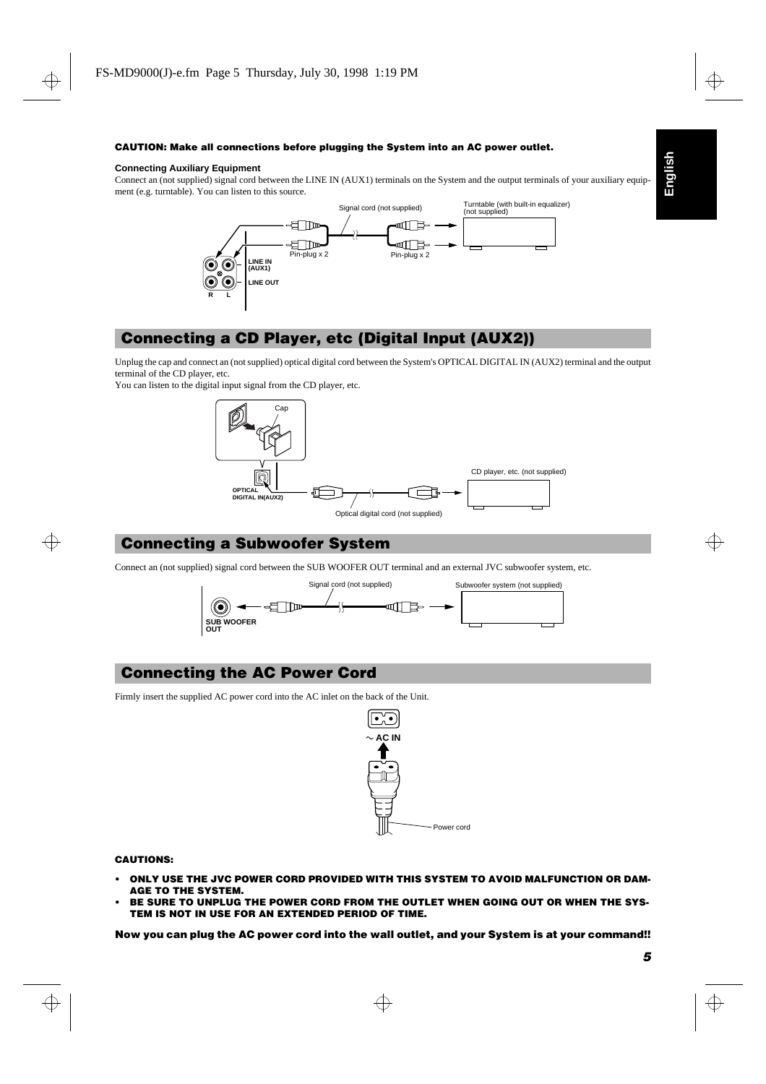#### **CAUTION: Make all connections before plugging the System into an AC power outlet.**

#### **Connecting Auxiliary Equipment**

Connect an (not supplied) signal cord between the LINE IN (AUX1) terminals on the System and the output terminals of your auxiliary equipment (e.g. turntable). You can listen to this source.



#### **Connecting a CD Player, etc (Digital Input (AUX2))**

Unplug the cap and connect an (not supplied) optical digital cord between the System's OPTICAL DIGITAL IN (AUX2) terminal and the output terminal of the CD player, etc.

You can listen to the digital input signal from the CD player, etc.



#### **Connecting a Subwoofer System**

Connect an (not supplied) signal cord between the SUB WOOFER OUT terminal and an external JVC subwoofer system, etc.



#### **Connecting the AC Power Cord**

Firmly insert the supplied AC power cord into the AC inlet on the back of the Unit.



#### **CAUTIONS:**

- **ONLY USE THE JVC POWER CORD PROVIDED WITH THIS SYSTEM TO AVOID MALFUNCTION OR DAM-AGE TO THE SYSTEM.**
- BE SURE TO UNPLUG THE POWER CORD FROM THE OUTLET WHEN GOING OUT OR WHEN THE SYS-**TEM IS NOT IN USE FOR AN EXTENDED PERIOD OF TIME.**

**Now you can plug the AC power cord into the wall outlet, and your System is at your command!!**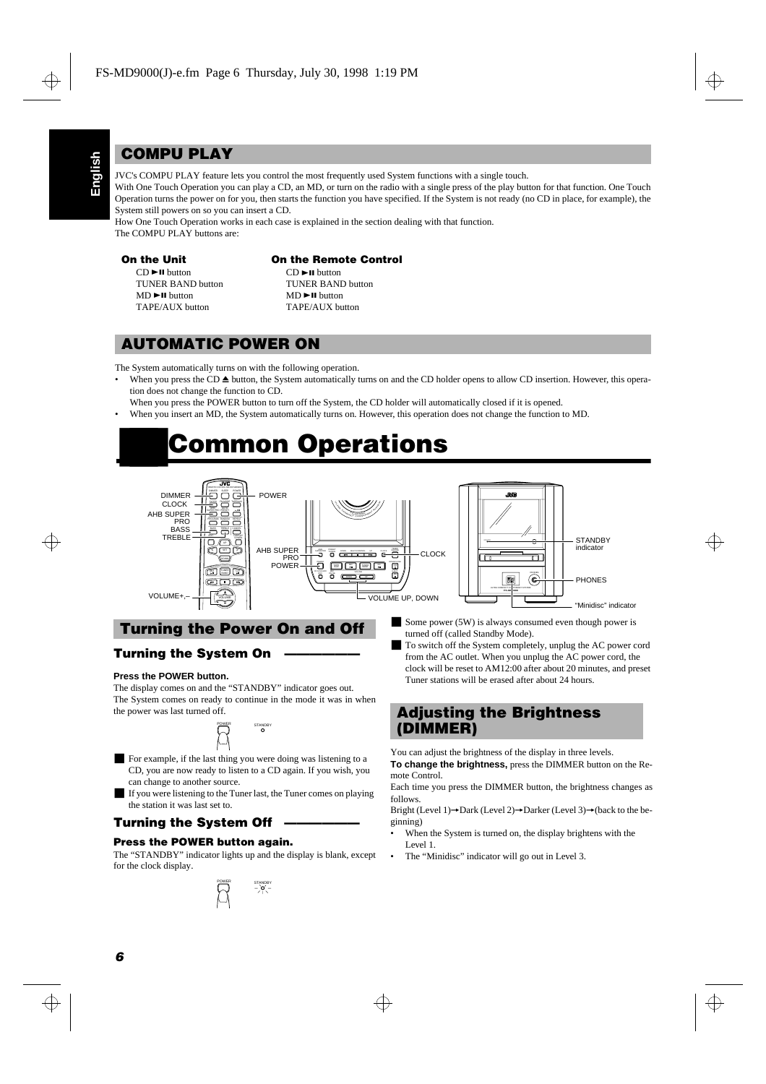#### **COMPU PLAY**

JVC's COMPU PLAY feature lets you control the most frequently used System functions with a single touch.

With One Touch Operation you can play a CD, an MD, or turn on the radio with a single press of the play button for that function. One Touch Operation turns the power on for you, then starts the function you have specified. If the System is not ready (no CD in place, for example), the System still powers on so you can insert a CD.

How One Touch Operation works in each case is explained in the section dealing with that function. The COMPU PLAY buttons are:

#### **On the Unit**

#### **On the Remote Control**

 $CD \blacktriangleright II$  button TUNER BAND button  $MD$   $\blacktriangleright$  II button TAPE/AUX button

 $CD \blacktriangleright II$  button TUNER BAND button  $MD \blacktriangleright H$  button TAPE/AUX button

#### **AUTOMATIC POWER ON**

The System automatically turns on with the following operation.

When you press the CD  $\triangleq$  button, the System automatically turns on and the CD holder opens to allow CD insertion. However, this operation does not change the function to CD.

When you press the POWER button to turn off the System, the CD holder will automatically closed if it is opened.

When you insert an MD, the System automatically turns on. However, this operation does not change the function to MD.

## **Common Operations**



**Turning the Power On and Off**

#### **Turning the System On**

#### **Press the POWER button.**

The display comes on and the "STANDBY" indicator goes out. The System comes on ready to continue in the mode it was in when the power was last turned off.



■ For example, if the last thing you were doing was listening to a CD, you are now ready to listen to a CD again. If you wish, you can change to another source.

■ If you were listening to the Tuner last, the Tuner comes on playing the station it was last set to.

#### **Turning the System Off**

#### **Press the POWER button again.**

The "STANDBY" indicator lights up and the display is blank, except for the clock display.



- Some power (5W) is always consumed even though power is turned off (called Standby Mode).
- To switch off the System completely, unplug the AC power cord from the AC outlet. When you unplug the AC power cord, the clock will be reset to AM12:00 after about 20 minutes, and preset Tuner stations will be erased after about 24 hours.

#### **Adjusting the Brightness (DIMMER)**

You can adjust the brightness of the display in three levels.

**To change the brightness,** press the DIMMER button on the Remote Control.

Each time you press the DIMMER button, the brightness changes as follows.

Bright (Level 1) $\rightarrow$ Dark (Level 2) $\rightarrow$ Darker (Level 3) $\rightarrow$ (back to the beginning)

- When the System is turned on, the display brightens with the Level 1.
- The "Minidisc" indicator will go out in Level 3.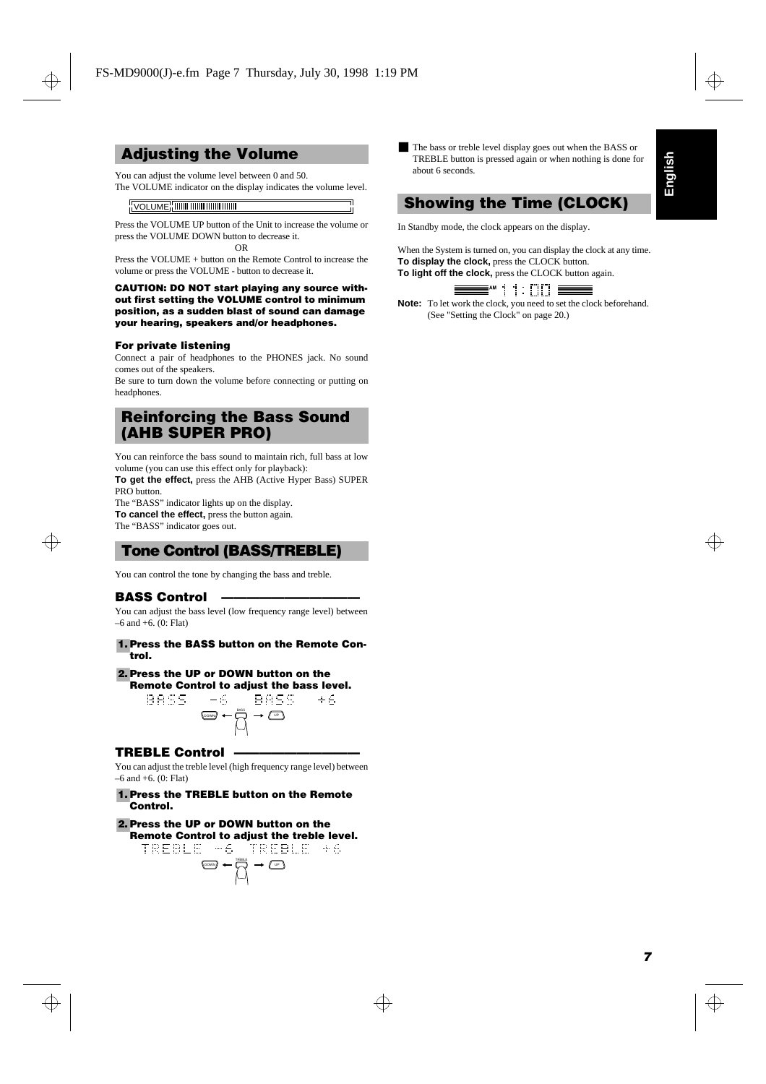#### **Adjusting the Volume**

You can adjust the volume level between 0 and 50. The VOLUME indicator on the display indicates the volume level.

#### VOLUME<sup>N</sup> IIIIIII IIIIIII IIIIIII IIIIIII

Press the VOLUME UP button of the Unit to increase the volume or press the VOLUME DOWN button to decrease it.

OR

Press the VOLUME + button on the Remote Control to increase the volume or press the VOLUME - button to decrease it.

#### **CAUTION: DO NOT start playing any source without first setting the VOLUME control to minimum position, as a sudden blast of sound can damage your hearing, speakers and/or headphones.**

#### **For private listening**

Connect a pair of headphones to the PHONES jack. No sound comes out of the speakers.

Be sure to turn down the volume before connecting or putting on headphones.

#### **Reinforcing the Bass Sound (AHB SUPER PRO)**

You can reinforce the bass sound to maintain rich, full bass at low volume (you can use this effect only for playback):

**To get the effect,** press the AHB (Active Hyper Bass) SUPER PRO button.

The "BASS" indicator lights up on the display.

**To cancel the effect,** press the button again.

The "BASS" indicator goes out.

#### **Tone Control (BASS/TREBLE)**

You can control the tone by changing the bass and treble.

#### **BASS Control**

You can adjust the bass level (low frequency range level) between –6 and +6. (0: Flat)

- **1. Press the BASS button on the Remote Control.**
- **2. Press the UP or DOWN button on the Remote Control to adjust the bass level.**



#### **TREBLE Control -**

You can adjust the treble level (high frequency range level) between –6 and +6. (0: Flat)

 $\overline{\text{DOWN}}$   $\leftarrow$   $\overline{\text{DANS}}$   $\rightarrow$   $\overline{\text{LIP}}$ 

 $+6$ 

#### **1. Press the TREBLE button on the Remote Control.**

**2. Press the UP or DOWN button on the Remote Control to adjust the treble level.**  TREBLE -6 -TREBLE +6  $\overline{\text{D}^{\text{D} \text{O} \text{W} \text{N}}}$   $\leftarrow$   $\overline{\text{C}}$   $\rightarrow$   $\overline{\text{C}}$ 

The bass or treble level display goes out when the BASS or TREBLE button is pressed again or when nothing is done for about 6 seconds.

#### **Showing the Time (CLOCK)**

In Standby mode, the clock appears on the display.

When the System is turned on, you can display the clock at any time. **To display the clock,** press the CLOCK button.

**To light off the clock,** press the CLOCK button again.

**Note:** To let work the clock, you need to set the clock beforehand. (See "Setting the Clock" on page 20.)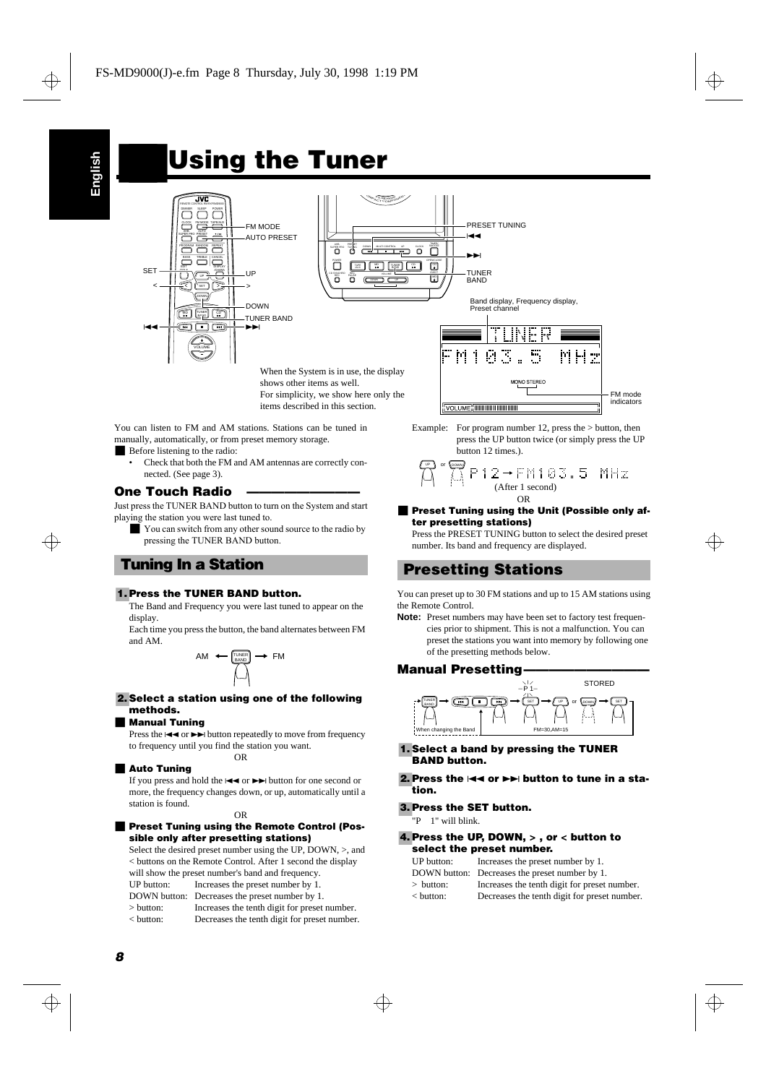## **Using the Tuner**





<u>{VOLUME}<mark>[IIIIIII IIIIII IIIIII</mark> IIIIII</u>

shows other items as well. For simplicity, we show here only the items described in this section.

You can listen to FM and AM stations. Stations can be tuned in manually, automatically, or from preset memory storage. Before listening to the radio:

• Check that both the FM and AM antennas are correctly connected. (See page 3).

#### **One Touch Radio**

Just press the TUNER BAND button to turn on the System and start playing the station you were last tuned to.

You can switch from any other sound source to the radio by pressing the TUNER BAND button.

#### **Tuning In a Station**

#### **1. Press the TUNER BAND button.**

The Band and Frequency you were last tuned to appear on the display.

Each time you press the button, the band alternates between FM and AM.

$$
AM \leftarrow \underbrace{\begin{array}{c} \text{TIMER} \\ \text{BAND} \end{array}}_{\bigcap}
$$
  $\rightarrow$  FM

#### **2. Select a station using one of the following methods.**

#### ■ **Manual Tuning**

Press the  $\blacktriangleleft$  or  $\blacktriangleright$  button repeatedly to move from frequency to frequency until you find the station you want. OR

#### ■ **Auto Tuning**

If you press and hold the  $\blacktriangleleft \blacktriangleleft$  or  $\blacktriangleright \blacktriangleright$  button for one second or more, the frequency changes down, or up, automatically until a station is found.

#### OR

#### ■ Preset Tuning using the Remote Control (Pos**sible only after presetting stations)**

Select the desired preset number using the UP, DOWN, >, and < buttons on the Remote Control. After 1 second the display will show the preset number's band and frequency. UP button: Increases the preset number by 1. DOWN button: Decreases the preset number by 1. > button: Increases the tenth digit for preset number.

```
< button: Decreases the tenth digit for preset number.
```
Example: For program number 12, press the > button, then press the UP button twice (or simply press the UP button 12 times.).

indicators

#### OR UP \ Or \DOWN (After 1 second)

■ Preset Tuning using the Unit (Possible only af**ter presetting stations)**

Press the PRESET TUNING button to select the desired preset number. Its band and frequency are displayed.

#### **Presetting Stations**

You can preset up to 30 FM stations and up to 15 AM stations using the Remote Control.

**Note:** Preset numbers may have been set to factory test frequencies prior to shipment. This is not a malfunction. You can preset the stations you want into memory by following one of the presetting methods below.

#### **Manual Presetting**



#### **1. Select a band by pressing the TUNER BAND button.**

**2. Press the I<< or ▶▶I button to tune in a station.**

#### **3. Press the SET button.**

"P 1" will blink.

#### ■**4. Press the UP, DOWN, > , or < button to select the preset number.**

| <b>UP</b> button: | Increases the preset number by 1.              |
|-------------------|------------------------------------------------|
|                   | DOWN button: Decreases the preset number by 1. |
| $>$ button:       | Increases the tenth digit for preset number.   |
| < button:         | Decreases the tenth digit for preset number.   |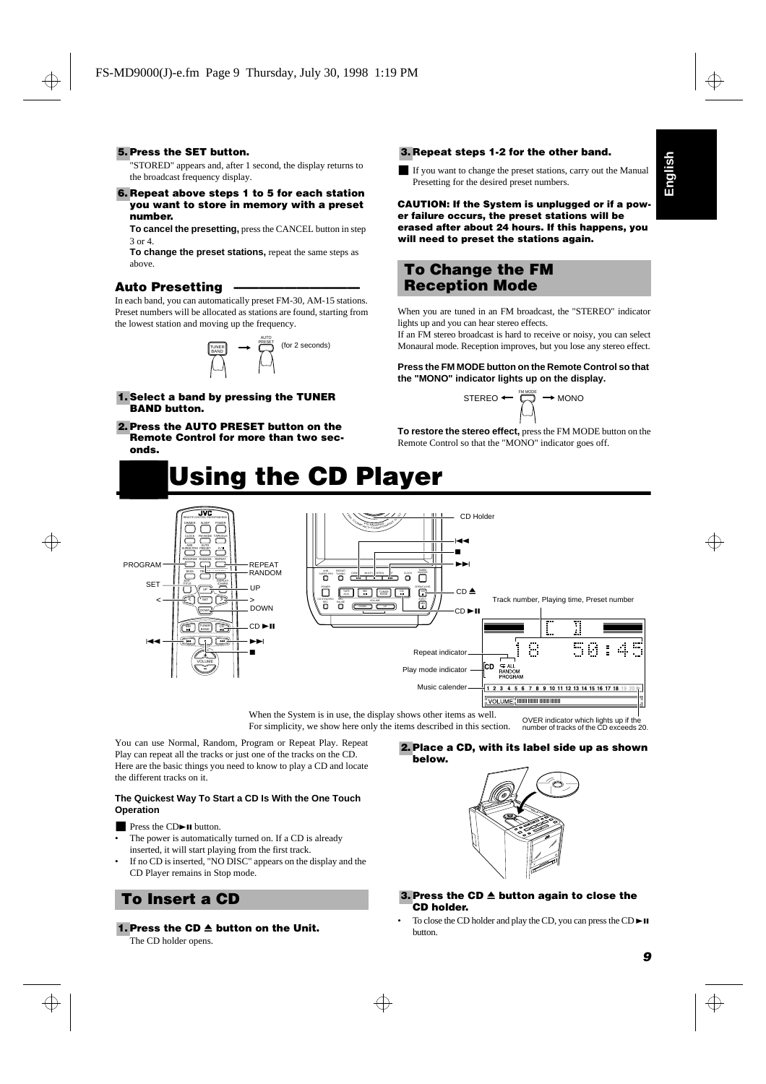# **English**

#### ■**5. Press the SET button.**

"STORED" appears and, after 1 second, the display returns to the broadcast frequency display.

**6. Repeat above steps 1 to 5 for each station you want to store in memory with a preset number.**

**To cancel the presetting,** press the CANCEL button in step 3 or 4.

**To change the preset stations,** repeat the same steps as above.

#### **Auto Presetting**

In each band, you can automatically preset FM-30, AM-15 stations. Preset numbers will be allocated as stations are found, starting from the lowest station and moving up the frequency.



- **1. Select a band by pressing the TUNER BAND button.**
- **2. Press the AUTO PRESET button on the Remote Control for more than two seconds.**

## **Using the CD Player**

#### **3. Repeat steps 1-2 for the other band.**

If you want to change the preset stations, carry out the Manual Presetting for the desired preset numbers.

**CAUTION: If the System is unplugged or if a power failure occurs, the preset stations will be erased after about 24 hours. If this happens, you will need to preset the stations again.**

#### **To Change the FM Reception Mode**

When you are tuned in an FM broadcast, the "STEREO" indicator lights up and you can hear stereo effects.

If an FM stereo broadcast is hard to receive or noisy, you can select Monaural mode. Reception improves, but you lose any stereo effect.

#### **Press the FM MODE button on the Remote Control so that the "MONO" indicator lights up on the display.**



**To restore the stereo effect,** press the FM MODE button on the Remote Control so that the "MONO" indicator goes off.



When the System is in use, the display shows other items as well. For simplicity, we show here only the items described in this section.

**below.**

OVER indicator which lights up if the number of tracks of the CD exceeds 20.

You can use Normal, Random, Program or Repeat Play. Repeat Play can repeat all the tracks or just one of the tracks on the CD. Here are the basic things you need to know to play a CD and locate the different tracks on it.

#### **The Quickest Way To Start a CD Is With the One Touch Operation**

- Press the CD►II button.
- The power is automatically turned on. If a CD is already inserted, it will start playing from the first track.
- If no CD is inserted, "NO DISC" appears on the display and the CD Player remains in Stop mode.

#### **To Insert a CD**

#### **1. Press the CD ≜ button on the Unit.**

The CD holder opens.



**2. Place a CD, with its label side up as shown** 

- **3. Press the CD ≜ button again to close the CD holder.**
- To close the CD holder and play the CD, you can press the  $CD \rightarrow II$ button.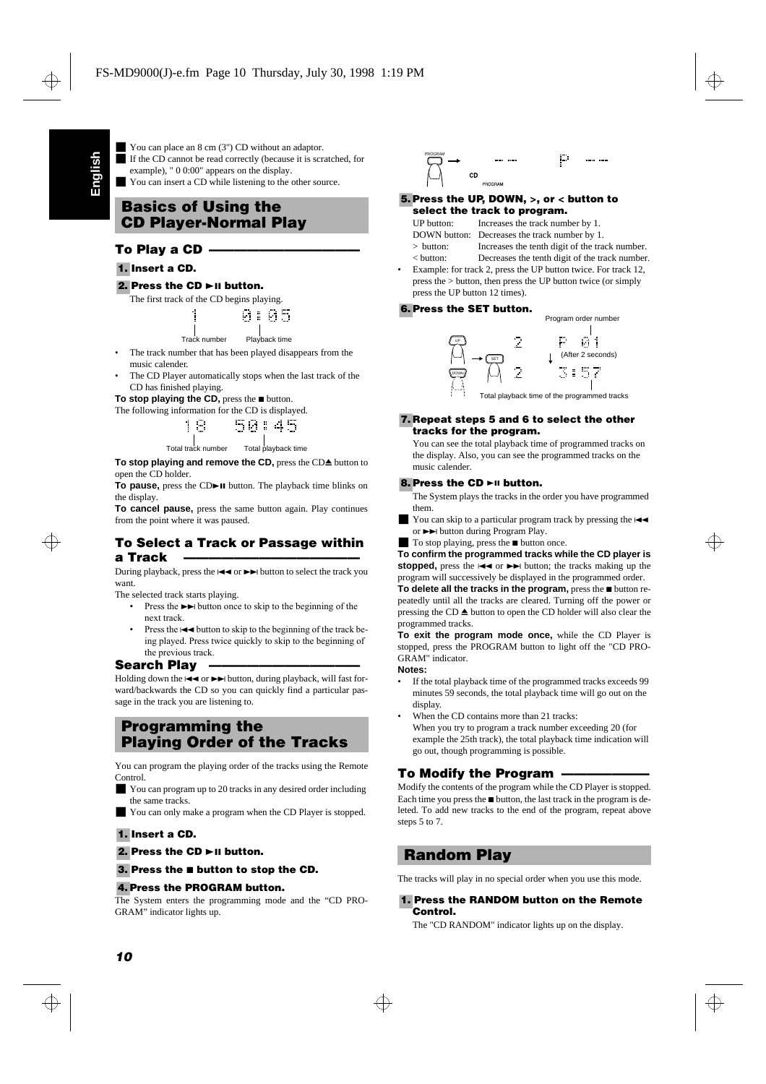You can place an 8 cm (3") CD without an adaptor. ■ If the CD cannot be read correctly (because it is scratched, for example), " 0 0:00" appears on the display.

You can insert a CD while listening to the other source.

#### **Basics of Using the CD Player-Normal Play**

#### To Play a CD -

#### ■**1. Insert a CD.**

#### **2. Press the CD ►II button.**

The first track of the CD begins playing.



- The track number that has been played disappears from the music calender.
- The CD Player automatically stops when the last track of the CD has finished playing.

To stop playing the CD, press the **I** button. The following information for the CD is displayed.

 $T$ otal track number<br>Total track number<br> $T$ otal playback time

**To stop playing and remove the CD, press the CD** $\triangle$  **button to** open the CD holder.

To pause, press the CD $\blacktriangleright$ <sup>II</sup> button. The playback time blinks on the display.

**To cancel pause,** press the same button again. Play continues from the point where it was paused.

#### **To Select a Track or Passage within a Track**

During playback, press the  $\blacktriangleleft \blacktriangleleft$  or  $\blacktriangleright \blacktriangleright$  button to select the track you want.

The selected track starts playing.

- Press the  $\blacktriangleright$  button once to skip to the beginning of the next track
- Press the  $\blacktriangleleft$  button to skip to the beginning of the track being played. Press twice quickly to skip to the beginning of the previous track.

#### **Search Play**

Holding down the  $\blacktriangleleft \blacktriangleleft$  or  $\blacktriangleright \blacktriangleright$  button, during playback, will fast forward/backwards the CD so you can quickly find a particular passage in the track you are listening to.

#### **Programming the Playing Order of the Tracks**

You can program the playing order of the tracks using the Remote **Control.** 

You can program up to 20 tracks in any desired order including the same tracks.

You can only make a program when the CD Player is stopped.

#### ■**1. Insert a CD.**

**2. Press the CD ►II button.** 

**3. Press the ■ button to stop the CD.** 

#### **4. Press the PROGRAM button.**

The System enters the programming mode and the "CD PRO-GRAM" indicator lights up.



#### ■**5. Press the UP, DOWN, >, or < button to select the track to program.**

UP button: Increases the track number by 1.

- DOWN button: Decreases the track number by 1.
- > button: Increases the tenth digit of the track number.
- < button: Decreases the tenth digit of the track number.
- Example: for track 2, press the UP button twice. For track 12, press the > button, then press the UP button twice (or simply press the UP button 12 times).

#### **6. Press the SET button.**



#### ■**7. Repeat steps 5 and 6 to select the other tracks for the program.**

You can see the total playback time of programmed tracks on the display. Also, you can see the programmed tracks on the music calender.

#### **8. Press the CD ►II button.**

The System plays the tracks in the order you have programmed them.

You can skip to a particular program track by pressing the  $\blacktriangleleft$ or  $\blacktriangleright$  button during Program Play.

To stop playing, press the  $\blacksquare$  button once.

**To confirm the programmed tracks while the CD player is stopped,** press the  $\blacktriangleleft \blacktriangleleft$  or  $\blacktriangleright \blacktriangleright$  button; the tracks making up the program will successively be displayed in the programmed order.

**To delete all the tracks in the program,** press the **n** button repeatedly until all the tracks are cleared. Turning off the power or pressing the CD  $\triangleq$  button to open the CD holder will also clear the programmed tracks.

**To exit the program mode once,** while the CD Player is stopped, press the PROGRAM button to light off the "CD PRO-GRAM" indicator.

**Notes:**

- If the total playback time of the programmed tracks exceeds 99 minutes 59 seconds, the total playback time will go out on the display.
- When the CD contains more than 21 tracks: When you try to program a track number exceeding 20 (for example the 25th track), the total playback time indication will go out, though programming is possible.

#### **To Modify the Program**

Modify the contents of the program while the CD Player is stopped. Each time you press the  $\blacksquare$  button, the last track in the program is deleted. To add new tracks to the end of the program, repeat above steps 5 to 7.

#### **Random Play**

The tracks will play in no special order when you use this mode.

#### **1. Press the RANDOM button on the Remote Control.**

The "CD RANDOM" indicator lights up on the display.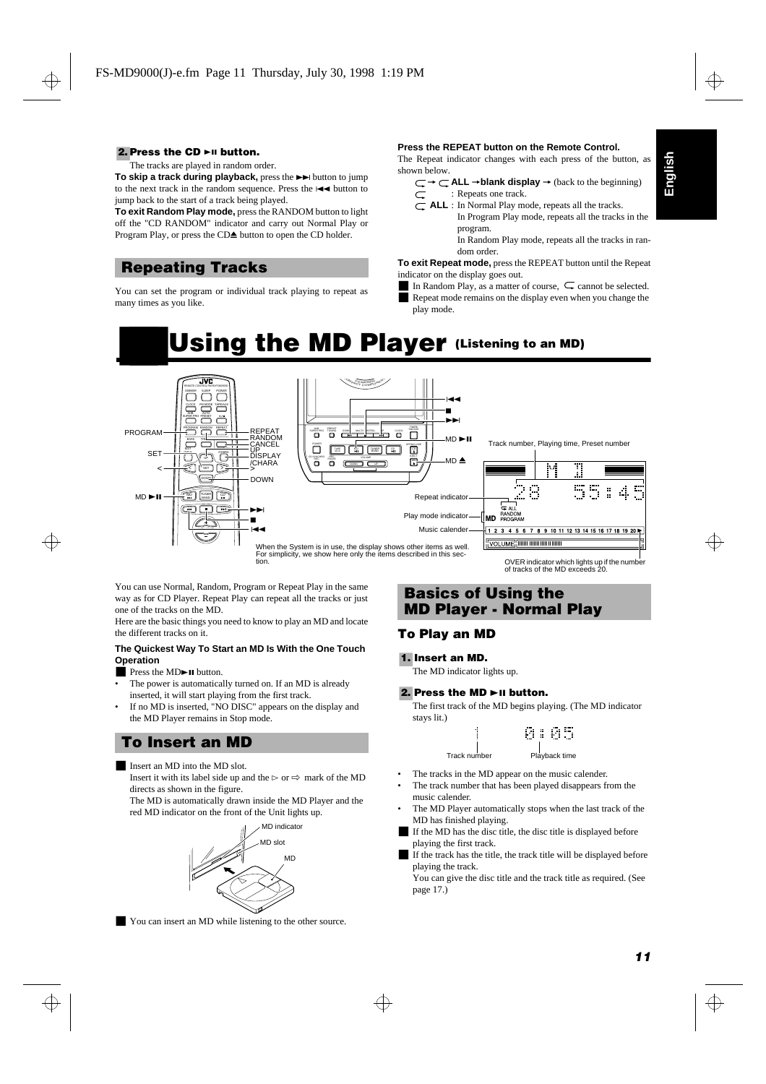# **English**

#### **2. Press the CD ►II button.**

The tracks are played in random order.

**To skip a track during playback,** press the  $\rightarrow$  button to jump to the next track in the random sequence. Press the  $\blacktriangleleft \blacktriangleleft$  button to jump back to the start of a track being played.

**To exit Random Play mode,** press the RANDOM button to light off the "CD RANDOM" indicator and carry out Normal Play or Program Play, or press the  $CD\triangle$  button to open the CD holder.

#### **Repeating Tracks**

You can set the program or individual track playing to repeat as many times as you like.

#### **Press the REPEAT button on the Remote Control.**

The Repeat indicator changes with each press of the button, as shown below.

- = **ALL** =**blank display** = (back to the beginning) : Repeats one track.
- **ALL** : In Normal Play mode, repeats all the tracks. In Program Play mode, repeats all the tracks in the program.

In Random Play mode, repeats all the tracks in random order.

**To exit Repeat mode,** press the REPEAT button until the Repeat indicator on the display goes out.

In Random Play, as a matter of course,  $\subset \subset$  cannot be selected. ■ Repeat mode remains on the display even when you change the play mode.

### **Using the MD Player (Listening to an MD)**



OVER indicator which lights up if the number of tracks of the MD exceeds 20.

You can use Normal, Random, Program or Repeat Play in the same way as for CD Player. Repeat Play can repeat all the tracks or just one of the tracks on the MD.

tion.

Here are the basic things you need to know to play an MD and locate the different tracks on it.

#### **The Quickest Way To Start an MD Is With the One Touch Operation**

- Press the MD► **II** button.
- The power is automatically turned on. If an MD is already inserted, it will start playing from the first track.
- If no MD is inserted, "NO DISC" appears on the display and the MD Player remains in Stop mode.

#### **To Insert an MD**

Insert an MD into the MD slot. Insert it with its label side up and the  $\triangleright$  or  $\Rightarrow$  mark of the MD directs as shown in the figure.

The MD is automatically drawn inside the MD Player and the red MD indicator on the front of the Unit lights up.



■ You can insert an MD while listening to the other source.

#### **Basics of Using the MD Player - Normal Play**

#### **To Play an MD**

#### ■**1. Insert an MD.**

The MD indicator lights up.

#### **2. Press the MD ► II button.**

The first track of the MD begins playing. (The MD indicator stays lit.)



- 
- 
- The tracks in the MD appear on the music calender.
- The track number that has been played disappears from the music calender.
- The MD Player automatically stops when the last track of the MD has finished playing.
- If the MD has the disc title, the disc title is displayed before playing the first track.
- If the track has the title, the track title will be displayed before playing the track.

You can give the disc title and the track title as required. (See page 17.)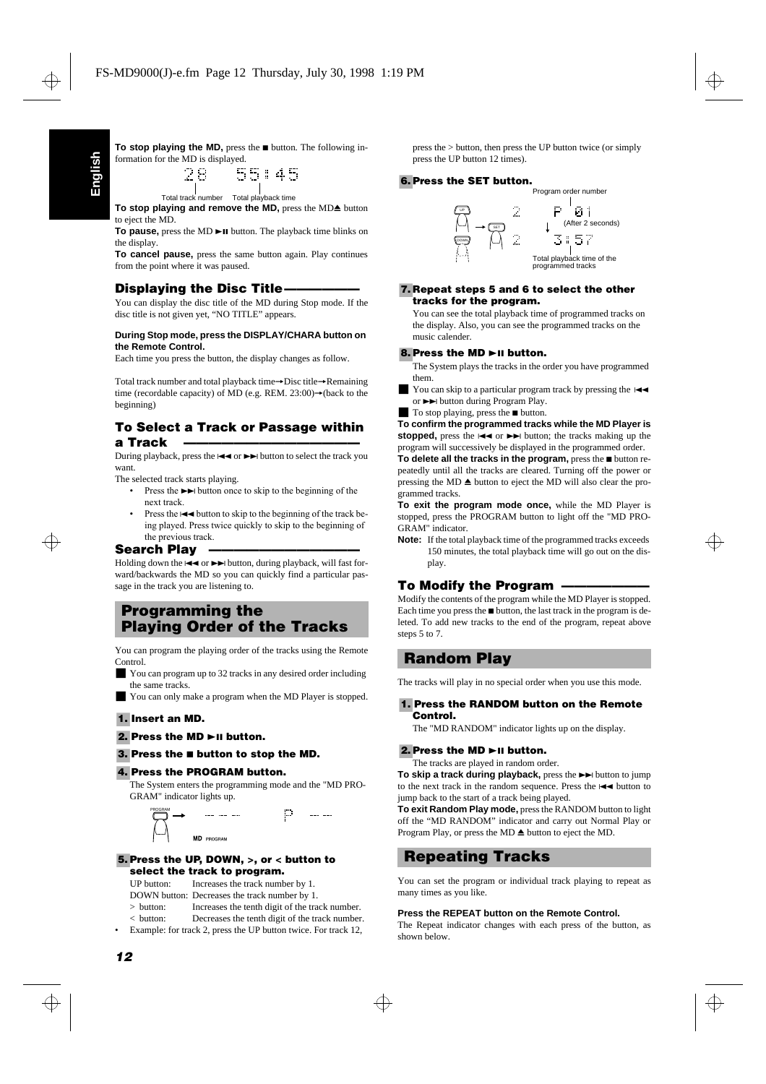**To stop playing the MD,** press the ■ button. The following information for the MD is displayed.



Total track number Total playback time

To stop playing and remove the MD, press the MD $\triangleq$  button to eject the MD.

**To pause,** press the MD  $\blacktriangleright$ **II** button. The playback time blinks on the display.

**To cancel pause,** press the same button again. Play continues from the point where it was paused.

#### **Displaying the Disc Title-**

You can display the disc title of the MD during Stop mode. If the disc title is not given yet, "NO TITLE" appears.

#### **During Stop mode, press the DISPLAY/CHARA button on the Remote Control.**

Each time you press the button, the display changes as follow.

Total track number and total playback time $\rightarrow$ Disc title $\rightarrow$ Remaining time (recordable capacity) of MD (e.g. REM. 23:00) $\rightarrow$ (back to the beginning)

#### **To Select a Track or Passage within a Track**

During playback, press the  $\blacktriangleleft \blacktriangleleft$  or  $\blacktriangleright \blacktriangleright$  button to select the track you want.

The selected track starts playing.

- Press the  $\blacktriangleright$  button once to skip to the beginning of the next track.
- Press the  $\blacktriangleleft$  button to skip to the beginning of the track being played. Press twice quickly to skip to the beginning of the previous track.

#### **Search Play**

Holding down the  $\blacktriangleleft$  or  $\blacktriangleright$  button, during playback, will fast forward/backwards the MD so you can quickly find a particular passage in the track you are listening to.

#### **Programming the Playing Order of the Tracks**

You can program the playing order of the tracks using the Remote Control.

- You can program up to 32 tracks in any desired order including the same tracks.
- You can only make a program when the MD Player is stopped.

#### ■**1. Insert an MD.**

- **2. Press the MD ►II button.**
- **3. Press the button to stop the MD.**

#### **4. Press the PROGRAM button.**

The System enters the programming mode and the "MD PRO-GRAM" indicator lights up.



#### ■**5. Press the UP, DOWN, >, or < button to select the track to program.**

UP button: Increases the track number by 1.

DOWN button: Decreases the track number by 1.

- > button: Increases the tenth digit of the track number.
- < button: Decreases the tenth digit of the track number.
- Example: for track 2, press the UP button twice. For track 12,

press the > button, then press the UP button twice (or simply press the UP button 12 times).

#### ■**6. Press the SET button.**



#### ■**7. Repeat steps 5 and 6 to select the other tracks for the program.**

You can see the total playback time of programmed tracks on the display. Also, you can see the programmed tracks on the music calender.

#### **8. Press the MD ►II button.**

The System plays the tracks in the order you have programmed them.

- You can skip to a particular program track by pressing the  $\blacktriangleleft$ or  $\blacktriangleright$  button during Program Play.
- To stop playing, press the button.

**To confirm the programmed tracks while the MD Player is stopped,** press the  $\left| \right|$  or  $\rightarrow$  button; the tracks making up the program will successively be displayed in the programmed order.

**To delete all the tracks in the program,** press the **n** button repeatedly until all the tracks are cleared. Turning off the power or pressing the MD  $\triangleq$  button to eject the MD will also clear the programmed tracks.

**To exit the program mode once,** while the MD Player is stopped, press the PROGRAM button to light off the "MD PRO-GRAM" indicator.

**Note:** If the total playback time of the programmed tracks exceeds 150 minutes, the total playback time will go out on the display.

#### **To Modify the Program**

Modify the contents of the program while the MD Player is stopped. Each time you press the  $\blacksquare$  button, the last track in the program is deleted. To add new tracks to the end of the program, repeat above steps 5 to 7.

#### **Random Play**

The tracks will play in no special order when you use this mode.

#### **1. Press the RANDOM button on the Remote Control.**

The "MD RANDOM" indicator lights up on the display.

#### **2. Press the MD ►II button.**

The tracks are played in random order.

**To skip a track during playback,** press the  $\blacktriangleright$  button to jump to the next track in the random sequence. Press the  $\blacktriangleleft \blacktriangleleft$  button to jump back to the start of a track being played.

**To exit Random Play mode,** press the RANDOM button to light off the "MD RANDOM" indicator and carry out Normal Play or Program Play, or press the MD  $\triangleq$  button to eject the MD.

#### **Repeating Tracks**

You can set the program or individual track playing to repeat as many times as you like.

#### **Press the REPEAT button on the Remote Control.**

The Repeat indicator changes with each press of the button, as shown below.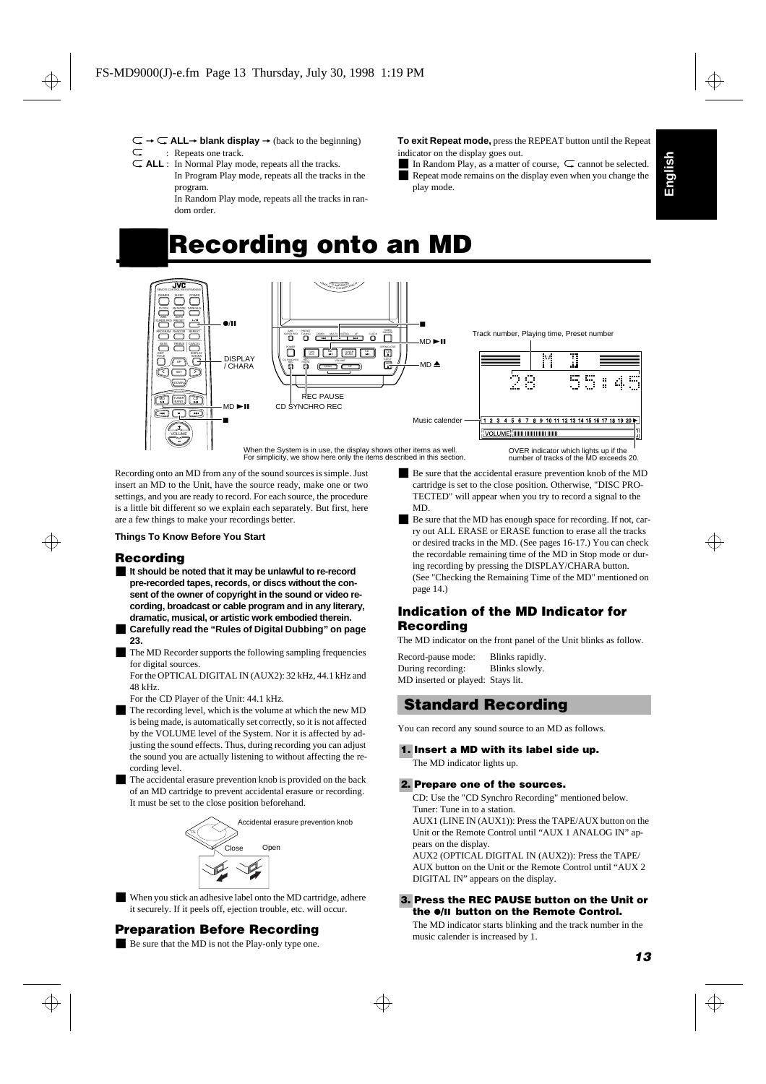#### $\mathbb{Z} \rightarrow \mathbb{Z}$  ALL $\rightarrow$  blank display  $\rightarrow$  (back to the beginning)  $\subset$ : Repeats one track.

- **ALL** : In Normal Play mode, repeats all the tracks.
	- In Program Play mode, repeats all the tracks in the program.

In Random Play mode, repeats all the tracks in random order.

**To exit Repeat mode,** press the REPEAT button until the Repeat indicator on the display goes out.

In Random Play, as a matter of course,  $\subsetneq$  cannot be selected. Repeat mode remains on the display even when you change the play mode.

## **Recording onto an MD**



Recording onto an MD from any of the sound sources is simple. Just insert an MD to the Unit, have the source ready, make one or two settings, and you are ready to record. For each source, the procedure is a little bit different so we explain each separately. But first, here are a few things to make your recordings better.

#### **Things To Know Before You Start**

#### **Recording**

- **It should be noted that it may be unlawful to re-record pre-recorded tapes, records, or discs without the consent of the owner of copyright in the sound or video recording, broadcast or cable program and in any literary, dramatic, musical, or artistic work embodied therein.**
- Carefully read the "Rules of Digital Dubbing" on page **23.**
- The MD Recorder supports the following sampling frequencies for digital sources.

For the OPTICAL DIGITAL IN (AUX2): 32 kHz, 44.1 kHz and 48 kHz.

For the CD Player of the Unit: 44.1 kHz.

- The recording level, which is the volume at which the new MD is being made, is automatically set correctly, so it is not affected by the VOLUME level of the System. Nor it is affected by adjusting the sound effects. Thus, during recording you can adjust the sound you are actually listening to without affecting the recording level.
- The accidental erasure prevention knob is provided on the back of an MD cartridge to prevent accidental erasure or recording. It must be set to the close position beforehand.



When you stick an adhesive label onto the MD cartridge, adhere it securely. If it peels off, ejection trouble, etc. will occur.

#### **Preparation Before Recording**

■ Be sure that the MD is not the Play-only type one.

- Be sure that the accidental erasure prevention knob of the MD cartridge is set to the close position. Otherwise, "DISC PRO-TECTED" will appear when you try to record a signal to the MD.
- Be sure that the MD has enough space for recording. If not, carry out ALL ERASE or ERASE function to erase all the tracks or desired tracks in the MD. (See pages 16-17.) You can check the recordable remaining time of the MD in Stop mode or during recording by pressing the DISPLAY/CHARA button. (See "Checking the Remaining Time of the MD" mentioned on page 14.)

#### **Indication of the MD Indicator for Recording**

The MD indicator on the front panel of the Unit blinks as follow.

Record-pause mode: Blinks rapidly. During recording: Blinks slowly. MD inserted or played: Stays lit.

#### **Standard Recording**

You can record any sound source to an MD as follows.

#### ■**1. Insert a MD with its label side up.**

The MD indicator lights up.

#### **2. Prepare one of the sources.**

CD: Use the "CD Synchro Recording" mentioned below. Tuner: Tune in to a station.

AUX1 (LINE IN (AUX1)): Press the TAPE/AUX button on the Unit or the Remote Control until "AUX 1 ANALOG IN" appears on the display.

AUX2 (OPTICAL DIGITAL IN (AUX2)): Press the TAPE/ AUX button on the Unit or the Remote Control until "AUX 2 DIGITAL IN" appears on the display.

#### **3. Press the REC PAUSE button on the Unit or the**  $\bullet$ **/II button on the Remote Control.**

The MD indicator starts blinking and the track number in the music calender is increased by 1.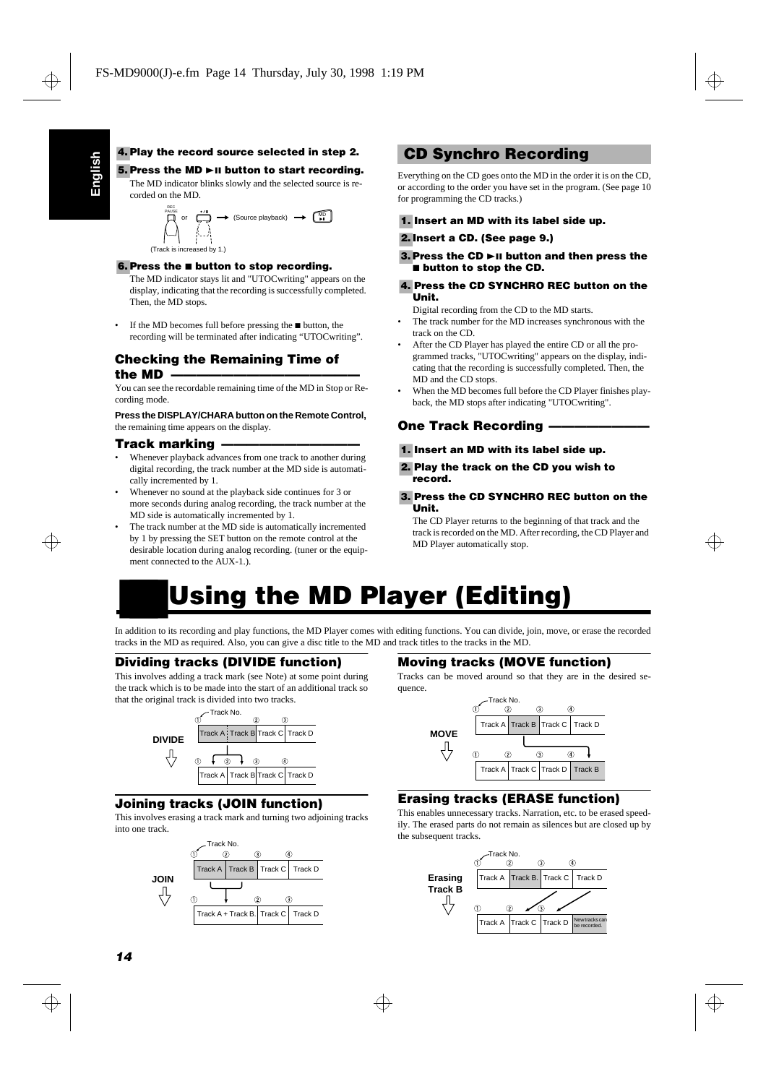#### ■**4. Play the record source selected in step 2.**

#### **5. Press the MD ►II button to start recording.**

The MD indicator blinks slowly and the selected source is recorded on the MD.



#### **6. Press the ■ button to stop recording.**

The MD indicator stays lit and "UTOCwriting" appears on the display, indicating that the recording is successfully completed. Then, the MD stops.

If the MD becomes full before pressing the  $\blacksquare$  button, the recording will be terminated after indicating "UTOCwriting".

#### **Checking the Remaining Time of the MD ———————————————**

You can see the recordable remaining time of the MD in Stop or Recording mode.

**Press the DISPLAY/CHARA button on the Remote Control,**  the remaining time appears on the display.

#### **Track marking**

- Whenever playback advances from one track to another during digital recording, the track number at the MD side is automatically incremented by 1.
- Whenever no sound at the playback side continues for 3 or more seconds during analog recording, the track number at the MD side is automatically incremented by 1.
- The track number at the MD side is automatically incremented by 1 by pressing the SET button on the remote control at the desirable location during analog recording. (tuner or the equipment connected to the AUX-1.).

#### **CD Synchro Recording**

Everything on the CD goes onto the MD in the order it is on the CD, or according to the order you have set in the program. (See page 10 for programming the CD tracks.)

- ■**1. Insert an MD with its label side up.**
- ■**2. Insert a CD. (See page 9.)**
- **3. Press the CD ►II button and then press the** 7 **button to stop the CD.**

#### ■**4. Press the CD SYNCHRO REC button on the Unit.**

Digital recording from the CD to the MD starts.

- The track number for the MD increases synchronous with the track on the CD.
- After the CD Player has played the entire CD or all the programmed tracks, "UTOCwriting" appears on the display, indicating that the recording is successfully completed. Then, the MD and the CD stops.
- When the MD becomes full before the CD Player finishes playback, the MD stops after indicating "UTOCwriting".

#### **One Track Recording -**

#### **1. Insert an MD with its label side up.**

- **2. Play the track on the CD you wish to record.**
- **3. Press the CD SYNCHRO REC button on the Unit.**

The CD Player returns to the beginning of that track and the track is recorded on the MD. After recording, the CD Player and MD Player automatically stop.

## **Using the MD Player (Editing)**

In addition to its recording and play functions, the MD Player comes with editing functions. You can divide, join, move, or erase the recorded tracks in the MD as required. Also, you can give a disc title to the MD and track titles to the tracks in the MD.

#### **Dividing tracks (DIVIDE function)**

This involves adding a track mark (see Note) at some point during the track which is to be made into the start of an additional track so that the original track is divided into two tracks.



#### **Joining tracks (JOIN function)**

This involves erasing a track mark and turning two adjoining tracks into one track.



#### **Moving tracks (MOVE function)**

Tracks can be moved around so that they are in the desired sequence.



#### **Erasing tracks (ERASE function)**

This enables unnecessary tracks. Narration, etc. to be erased speedily. The erased parts do not remain as silences but are closed up by the subsequent tracks.

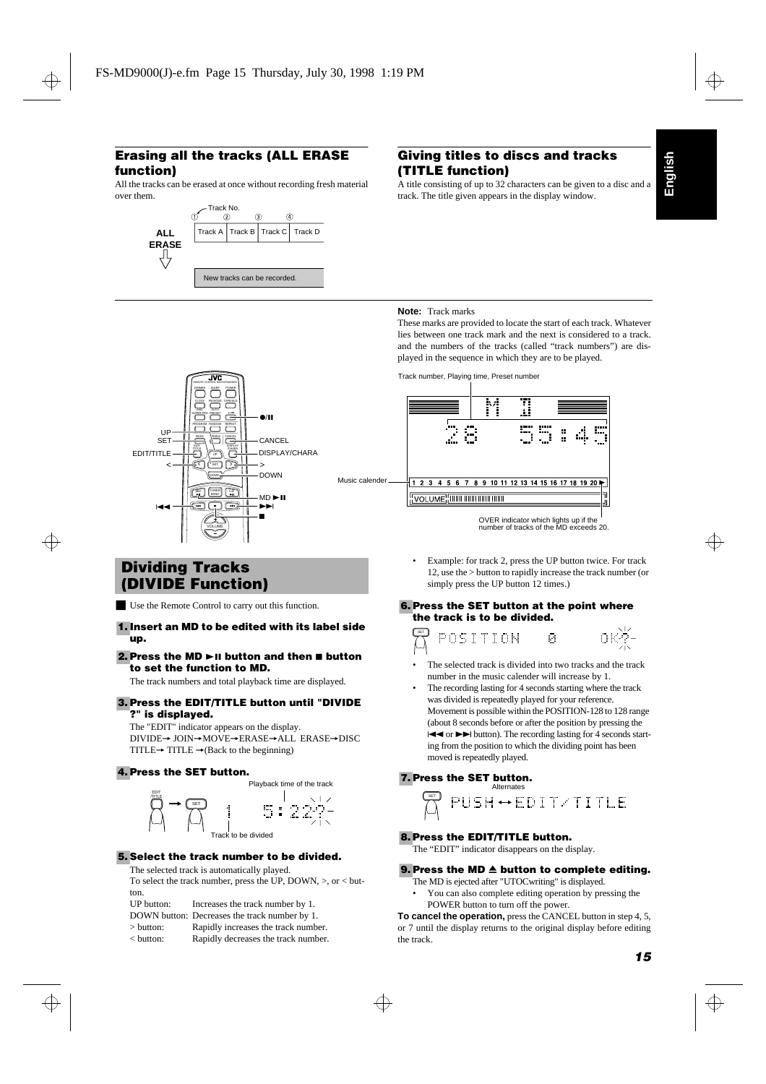#### **Erasing all the tracks (ALL ERASE function)**

All the tracks can be erased at once without recording fresh material over them.



#### **Giving titles to discs and tracks (TITLE function)**

A title consisting of up to 32 characters can be given to a disc and a track. The title given appears in the display window.

#### **Note:** Track marks

These marks are provided to locate the start of each track. Whatever lies between one track mark and the next is considered to a track. and the numbers of the tracks (called "track numbers") are displayed in the sequence in which they are to be played.



#### **Dividing Tracks (DIVIDE Function)**

■ Use the Remote Control to carry out this function.

#### **1. Insert an MD to be edited with its label side up.**

#### **2. Press the MD ►II button and then ■ button to set the function to MD.**

The track numbers and total playback time are displayed.

#### **3. Press the EDIT/TITLE button until "DIVIDE ?" is displayed.**

The "EDIT" indicator appears on the display. DIVIDE→ JOIN→MOVE→ERASE→ALL ERASE→DISC TITLE  $\rightarrow$  TITLE  $\rightarrow$  (Back to the beginning)

#### ■**4. Press the SET button.**



#### **5. Select the track number to be divided.**

The selected track is automatically played.

To select the track number, press the UP, DOWN, >, or < button.

| <b>UP</b> button: | Increases the track number by 1.              |
|-------------------|-----------------------------------------------|
|                   | DOWN button: Decreases the track number by 1. |
| $>$ button:       | Rapidly increases the track number.           |
| $<$ button:       | Rapidly decreases the track number.           |
|                   |                                               |





OVER indicator which lights up if the number of tracks of the MD exceeds 20.

Example: for track 2, press the UP button twice. For track 12, use the > button to rapidly increase the track number (or simply press the UP button 12 times.)

#### **6. Press the SET button at the point where the track is to be divided.**



- The selected track is divided into two tracks and the track number in the music calender will increase by 1.
- The recording lasting for 4 seconds starting where the track was divided is repeatedly played for your reference. Movement is possible within the POSITION-128 to 128 range (about 8 seconds before or after the position by pressing the  $\blacktriangleright$  or  $\blacktriangleright$  button). The recording lasting for 4 seconds starting from the position to which the dividing point has been moved is repeatedly played.

#### **7. Press the SET button.**

$$
\overbrace{ \bigcirc \limits^{\text{Set}}_{\text{per}}}\ \ \text{PUSH} \leftrightarrow \text{EDIT-TITLE}
$$

#### **8. Press the EDIT/TITLE button.**

The "EDIT" indicator disappears on the display.

#### **9. Press the MD**  $\triangleq$  **button to complete editing.**

- The MD is ejected after "UTOCwriting" is displayed.
- You can also complete editing operation by pressing the POWER button to turn off the power.

**To cancel the operation,** press the CANCEL button in step 4, 5, or 7 until the display returns to the original display before editing the track.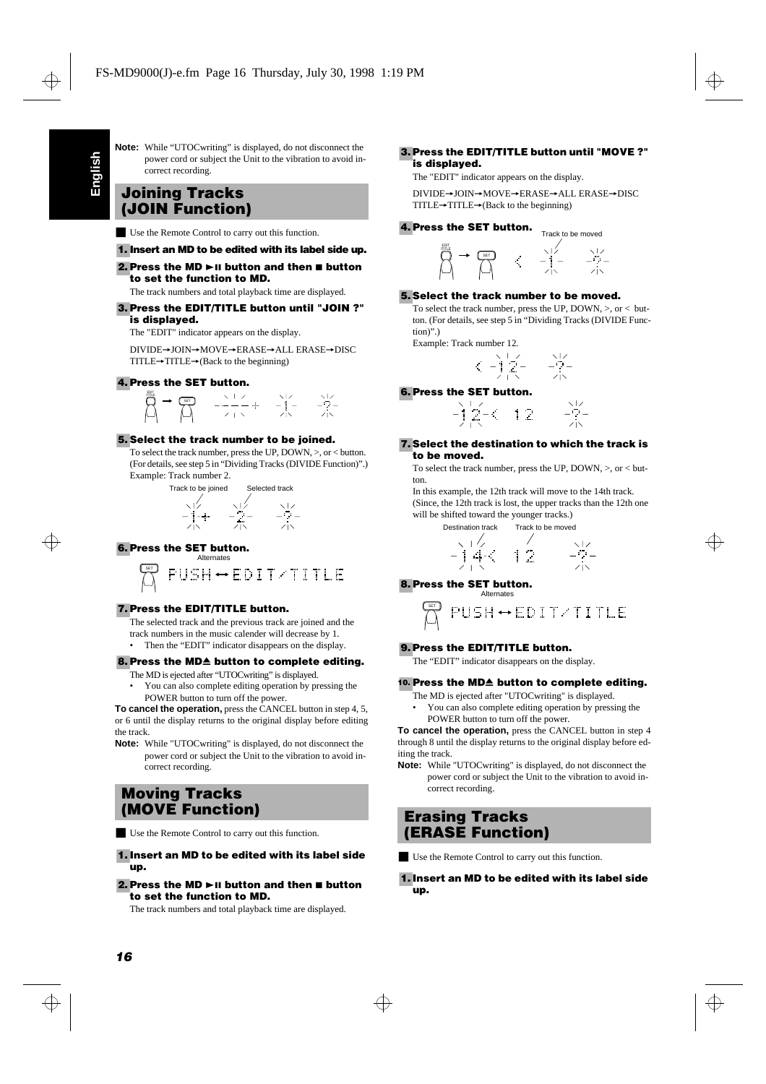**Note:** While "UTOCwriting" is displayed, do not disconnect the power cord or subject the Unit to the vibration to avoid incorrect recording.

#### **Joining Tracks (JOIN Function)**

■ Use the Remote Control to carry out this function.

■**1. Insert an MD to be edited with its label side up.**

#### **2. Press the MD ►II button and then ■ button to set the function to MD.**

The track numbers and total playback time are displayed.

#### ■**3. Press the EDIT/TITLE button until "JOIN ?" is displayed.**

The "EDIT" indicator appears on the display.

DIVIDE→JOIN→MOVE→ERASE→ALL ERASE→DISC TITLE $\rightarrow$ TITLE $\rightarrow$ (Back to the beginning)

#### ■**4. Press the SET button.**



#### **5. Select the track number to be joined.**

To select the track number, press the UP, DOWN, >, or < button. (For details, see step 5 in "Dividing Tracks (DIVIDE Function)".) Example: Track number 2.

> Track to be joined Selected track  $\frac{1}{2}$   $\frac{1}{2}$   $\frac{1}{2}$   $\frac{1}{2}$   $\frac{1}{2}$

#### ■**6. Press the SET button.**



#### **7. Press the EDIT/TITLE button.**

The selected track and the previous track are joined and the track numbers in the music calender will decrease by 1.

• Then the "EDIT" indicator disappears on the display.

#### **8. Press the MD≜ button to complete editing.**

The MD is ejected after "UTOCwriting" is displayed.

• You can also complete editing operation by pressing the POWER button to turn off the power.

**To cancel the operation,** press the CANCEL button in step 4, 5, or 6 until the display returns to the original display before editing the track.

**Note:** While "UTOCwriting" is displayed, do not disconnect the power cord or subject the Unit to the vibration to avoid incorrect recording.

#### **Moving Tracks (MOVE Function)**

- Use the Remote Control to carry out this function.
- ■**1. Insert an MD to be edited with its label side up.**
- **2. Press the MD ►II button and then button to set the function to MD.**

The track numbers and total playback time are displayed.

#### ■**3. Press the EDIT/TITLE button until "MOVE ?" is displayed.**

The "EDIT" indicator appears on the display.

DIVIDE→JOIN→MOVE→ERASE→ALL ERASE→DISC TITLE $\rightarrow$ TITLE $\rightarrow$ (Back to the beginning)

#### ■**4. Press the SET button.** Track to be moved



#### **5. Select the track number to be moved.**

To select the track number, press the UP, DOWN,  $>$ , or  $<$  button. (For details, see step 5 in "Dividing Tracks (DIVIDE Function)".)

Example: Track number 12.

$$
\sigma_{\rm{c}}^{(1)}=\left(\begin{array}{cc} 1/\sqrt{2} & \sqrt{2} \\ 1/\sqrt{2} & -\frac{\sqrt{2}}{2} \\ 1/\sqrt{2} & \sqrt{2} \end{array}\right)
$$



#### **7. Select the destination to which the track is to be moved.**

To select the track number, press the UP, DOWN, >, or < button.

In this example, the 12th track will move to the 14th track. (Since, the 12th track is lost, the upper tracks than the 12th one will be shifted toward the younger tracks.)

Destination track Track to be moved

$$
-14 < 12
$$

■**8. Press the SET button.** Alternates

$$
\overbrace{ \bigcap }^{\text{SET}} \hspace{0.1cm} \text{PIISH} \leftrightarrow \text{EDIT} \times \text{TITLE}
$$

#### **9. Press the EDIT/TITLE button.**

The "EDIT" indicator disappears on the display.

#### 10. Press the MD<sup>A</sup> button to complete editing.

The MD is ejected after "UTOCwriting" is displayed.

• You can also complete editing operation by pressing the POWER button to turn off the power.

**To cancel the operation,** press the CANCEL button in step 4 through 8 until the display returns to the original display before editing the track.

**Note:** While "UTOCwriting" is displayed, do not disconnect the power cord or subject the Unit to the vibration to avoid incorrect recording.

#### **Erasing Tracks (ERASE Function)**

- Use the Remote Control to carry out this function.
- ■**1. Insert an MD to be edited with its label side up.**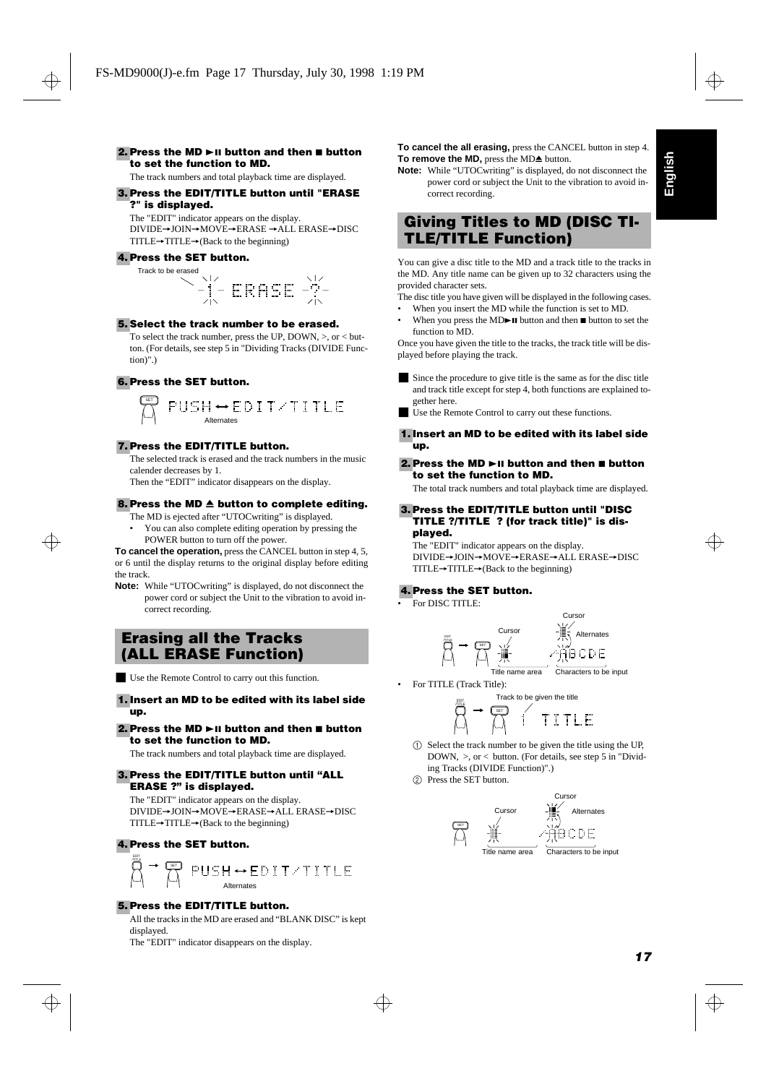#### **2. Press the MD ►II button and then ■ button to set the function to MD.**

The track numbers and total playback time are displayed.

#### **3. Press the EDIT/TITLE button until "ERASE ?" is displayed.**

The "EDIT" indicator appears on the display. DIVIDE→JOIN→MOVE→ERASE →ALL ERASE→DISC TITLE $\rightarrow$ TITLE $\rightarrow$ (Back to the beginning)

#### ■**4. Press the SET button.**



#### **5. Select the track number to be erased.**

To select the track number, press the UP, DOWN, >, or < button. (For details, see step 5 in "Dividing Tracks (DIVIDE Function)".)

#### **6. Press the SET button.**



#### ■**7. Press the EDIT/TITLE button.**

The selected track is erased and the track numbers in the music calender decreases by 1.

Then the "EDIT" indicator disappears on the display.

#### **8. Press the MD ≜ button to complete editing.**

- The MD is ejected after "UTOCwriting" is displayed.
- You can also complete editing operation by pressing the POWER button to turn off the power.

**To cancel the operation,** press the CANCEL button in step 4, 5, or 6 until the display returns to the original display before editing the track.

**Note:** While "UTOCwriting" is displayed, do not disconnect the power cord or subject the Unit to the vibration to avoid incorrect recording.

#### **Erasing all the Tracks (ALL ERASE Function)**

■ Use the Remote Control to carry out this function.

#### **1. Insert an MD to be edited with its label side up.**

#### **2. Press the MD ►II button and then ■ button to set the function to MD.**

The track numbers and total playback time are displayed.

#### **3. Press the EDIT/TITLE button until "ALL ERASE ?" is displayed.**

The "EDIT" indicator appears on the display. DIVIDE→JOIN→MOVE→ERASE→ALL ERASE→DISC TITLE $\rightarrow$ TITLE $\rightarrow$ (Back to the beginning)

#### ■**4. Press the SET button.**



#### **5. Press the EDIT/TITLE button.**

All the tracks in the MD are erased and "BLANK DISC" is kept displayed. The "EDIT" indicator disappears on the display.

#### **To cancel the all erasing,** press the CANCEL button in step 4. **To remove the MD, press the MD≜ button.**

**Note:** While "UTOCwriting" is displayed, do not disconnect the power cord or subject the Unit to the vibration to avoid incorrect recording.

#### **Giving Titles to MD (DISC TI-TLE/TITLE Function)**

You can give a disc title to the MD and a track title to the tracks in the MD. Any title name can be given up to 32 characters using the provided character sets.

The disc title you have given will be displayed in the following cases.

- When you insert the MD while the function is set to MD.
- When you press the MD $\blacktriangleright$  **II** button and then  $\blacksquare$  button to set the function to MD.

Once you have given the title to the tracks, the track title will be displayed before playing the track.

- Since the procedure to give title is the same as for the disc title and track title except for step 4, both functions are explained together here.
- Use the Remote Control to carry out these functions.

#### ■**1. Insert an MD to be edited with its label side up.**

#### **2. Press the MD ►II button and then ■ button to set the function to MD.**

The total track numbers and total playback time are displayed.

#### **3. Press the EDIT/TITLE button until "DISC TITLE ?/TITLE ? (for track title)" is displayed.**

The "EDIT" indicator appears on the display. DIVIDE→JOIN→MOVE→ERASE→ALL ERASE→DISC  $TITLE \rightarrow TITLE \rightarrow (Back to the beginning)$ 

#### ■**4. Press the SET button.**

For DISC TITLE:



• For TITLE (Track Title):

EDIT /TITLE

SET Track to be given the title



- 1 Select the track number to be given the title using the UP, DOWN,  $>$ , or  $<$  button. (For details, see step 5 in "Dividing Tracks (DIVIDE Function)".)
- 2 Press the SET button.

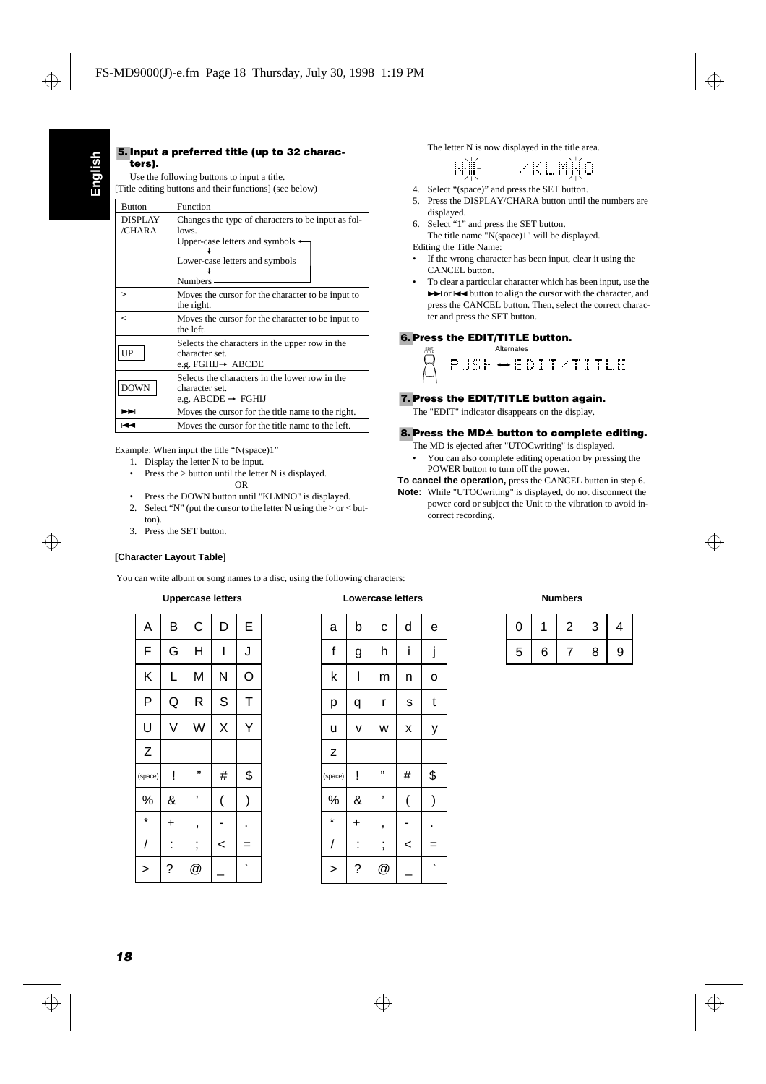# **English**

#### **5. Input a preferred title (up to 32 characters).**

Use the following buttons to input a title.

[Title editing buttons and their functions] (see below)

| <b>Button</b>            | Function                                                                                                                                                 |  |  |
|--------------------------|----------------------------------------------------------------------------------------------------------------------------------------------------------|--|--|
| <b>DISPLAY</b><br>/CHARA | Changes the type of characters to be input as fol-<br>lows.<br>Upper-case letters and symbols $\leftarrow$<br>Lower-case letters and symbols<br>Numbers- |  |  |
| >                        | Moves the cursor for the character to be input to<br>the right.                                                                                          |  |  |
| <                        | Moves the cursor for the character to be input to<br>the left.                                                                                           |  |  |
| UP                       | Selects the characters in the upper row in the<br>character set.<br>e.g. FGHIJ→ ABCDE                                                                    |  |  |
| <b>DOWN</b>              | Selects the characters in the lower row in the<br>character set.<br>e.g. ABCDE → FGHIJ                                                                   |  |  |
|                          | Moves the cursor for the title name to the right.                                                                                                        |  |  |
|                          | Moves the cursor for the title name to the left.                                                                                                         |  |  |

Example: When input the title "N(space)1"

1. Display the letter N to be input.

• Press the  $>$  button until the letter N is displayed.

OR

- Press the DOWN button until "KLMNO" is displayed.
- 2. Select "N" (put the cursor to the letter N using the  $>$  or  $<$  button).
- 3. Press the SET button.

#### **[Character Layout Table]**

You can write album or song names to a disc, using the following characters:

| A             | B         | C                         | D                        | E             |
|---------------|-----------|---------------------------|--------------------------|---------------|
| F             | G         | H                         | I                        | J             |
| K             | L         | M                         | N                        | O             |
| P             | Q         | R                         | S                        | Τ             |
| U             | V         | W                         | X                        | Y             |
| Z             |           |                           |                          |               |
| (space)       | ļ         | ,,                        | #                        | \$            |
| $\frac{1}{2}$ | &         | ,                         | $\overline{\phantom{a}}$ | $\mathcal{E}$ |
| $\star$       | $\ddot{}$ | ,                         |                          |               |
| 7             |           | ,                         | $\,<$                    |               |
|               | ?         | $^\text{\textregistered}$ |                          |               |

#### **Uppercase letters Lowercase letters Numbers**

| a              | b                    | C  | d       | e                          |
|----------------|----------------------|----|---------|----------------------------|
| f              | g                    | h  | i       | j                          |
| k              | ı                    | m  | n       | $\mathsf{o}$               |
| p              | q                    | r  | S       | t                          |
| U              | V                    | W  | X       | у                          |
| Z              |                      |    |         |                            |
| (space)        | ļ                    | ,, | #       | $\boldsymbol{\mathsf{\$}}$ |
| $\frac{0}{0}$  | &                    | ,  | (       | $\mathcal{E}$              |
| $\star$        | $\ddag$              | ,  |         |                            |
| $\overline{1}$ |                      | ,  | $\prec$ |                            |
| >              | $\ddot{\phantom{0}}$ | @  |         |                            |

The letter N is now displayed in the title area.



- 4. Select "(space)" and press the SET button.
- 5. Press the DISPLAY/CHARA button until the numbers are displayed.
- 6. Select "1" and press the SET button. The title name "N(space)1" will be displayed.

Editing the Title Name:

- If the wrong character has been input, clear it using the CANCEL button.
- To clear a particular character which has been input, use the  $\rightarrow$  or  $\rightarrow$  button to align the cursor with the character, and press the CANCEL button. Then, select the correct character and press the SET button.

#### **6. Press the EDIT/TITLE button.**



#### **7. Press the EDIT/TITLE button again.**

The "EDIT" indicator disappears on the display.

#### **8. Press the MD≜ button to complete editing.**

- The MD is ejected after "UTOCwriting" is displayed.
- You can also complete editing operation by pressing the POWER button to turn off the power.

**To cancel the operation,** press the CANCEL button in step 6.

**Note:** While "UTOCwriting" is displayed, do not disconnect the power cord or subject the Unit to the vibration to avoid incorrect recording.

### 5 | 6 | 7 | 8 | 9 0 | 1 | 2 | 3 | 4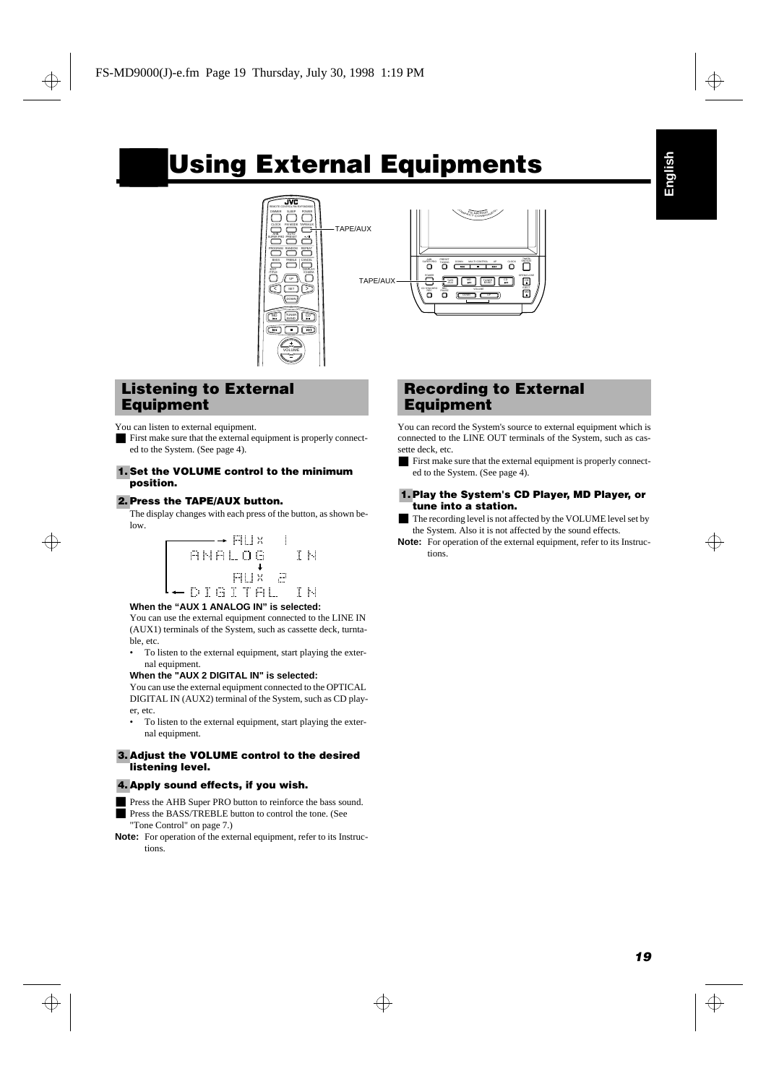## **Using External Equipments**





#### **Listening to External Equipment**

You can listen to external equipment.

■■

■ First make sure that the external equipment is properly connected to the System. (See page 4).

#### **1. Set the VOLUME control to the minimum position.**

#### **2. Press the TAPE/AUX button.**

The display changes with each press of the button, as shown below.



#### **When the "AUX 1 ANALOG IN" is selected:**

You can use the external equipment connected to the LINE IN (AUX1) terminals of the System, such as cassette deck, turntable, etc.

To listen to the external equipment, start playing the external equipment.

#### **When the "AUX 2 DIGITAL IN" is selected:**

You can use the external equipment connected to the OPTICAL DIGITAL IN (AUX2) terminal of the System, such as CD player, etc.

To listen to the external equipment, start playing the external equipment.

#### **3. Adjust the VOLUME control to the desired listening level.**

#### ■**4. Apply sound effects, if you wish.**

- **EXECUTE:** Press the AHB Super PRO button to reinforce the bass sound. Press the BASS/TREBLE button to control the tone. (See "Tone Control" on page 7.)
- **Note:** For operation of the external equipment, refer to its Instructions.

#### **Recording to External Equipment**

You can record the System's source to external equipment which is connected to the LINE OUT terminals of the System, such as cassette deck, etc.

- First make sure that the external equipment is properly connected to the System. (See page 4).
- **1. Play the System's CD Player, MD Player, or tune into a station.**
- The recording level is not affected by the VOLUME level set by the System. Also it is not affected by the sound effects.
- **Note:** For operation of the external equipment, refer to its Instructions.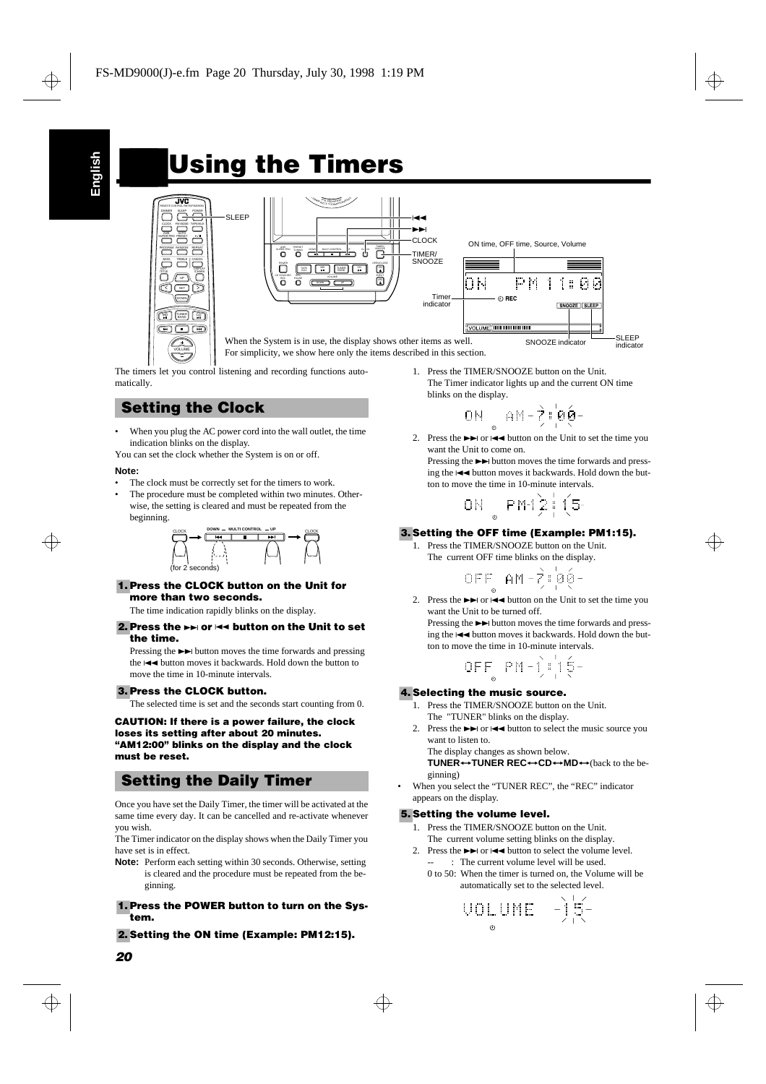## **Using the Timers**





The timers let you control listening and recording functions automatically.

#### **Setting the Clock**

When you plug the AC power cord into the wall outlet, the time indication blinks on the display.

You can set the clock whether the System is on or off.

#### **Note:**

- The clock must be correctly set for the timers to work.
- The procedure must be completed within two minutes. Otherwise, the setting is cleared and must be repeated from the beginning.



#### **1. Press the CLOCK button on the Unit for more than two seconds.**

The time indication rapidly blinks on the display.

#### **2. Press the ►► or +4 button on the Unit to set the time.**

Pressing the  $\rightarrow$  button moves the time forwards and pressing the  $\blacktriangleleft$  button moves it backwards. Hold down the button to move the time in 10-minute intervals.

#### **3. Press the CLOCK button.**

The selected time is set and the seconds start counting from 0.

#### **CAUTION: If there is a power failure, the clock loses its setting after about 20 minutes. "AM12:00" blinks on the display and the clock must be reset.**

#### **Setting the Daily Timer**

Once you have set the Daily Timer, the timer will be activated at the same time every day. It can be cancelled and re-activate whenever you wish.

The Timer indicator on the display shows when the Daily Timer you have set is in effect.

- **Note:** Perform each setting within 30 seconds. Otherwise, setting is cleared and the procedure must be repeated from the beginning.
- **1. Press the POWER button to turn on the System.**

**2. Setting the ON time (Example: PM12:15).** 

1. Press the TIMER/SNOOZE button on the Unit. The Timer indicator lights up and the current ON time blinks on the display.

$$
ON \quad \text{and} \quad \frac{\partial}{\partial t} = \frac{1}{2} \mathbf{1} \mathbf{1} \mathbf{1} \mathbf{1} \mathbf{1} \mathbf{1} \mathbf{1} \mathbf{1} \mathbf{1} \mathbf{1} \mathbf{1} \mathbf{1} \mathbf{1} \mathbf{1} \mathbf{1} \mathbf{1} \mathbf{1} \mathbf{1} \mathbf{1} \mathbf{1} \mathbf{1} \mathbf{1} \mathbf{1} \mathbf{1} \mathbf{1} \mathbf{1} \mathbf{1} \mathbf{1} \mathbf{1} \mathbf{1} \mathbf{1} \mathbf{1} \mathbf{1} \mathbf{1} \mathbf{1} \mathbf{1} \mathbf{1} \mathbf{1} \mathbf{1} \mathbf{1} \mathbf{1} \mathbf{1} \mathbf{1} \mathbf{1} \mathbf{1} \mathbf{1} \mathbf{1} \mathbf{1} \mathbf{1} \mathbf{1} \mathbf{1} \mathbf{1} \mathbf{1} \mathbf{1} \mathbf{1} \mathbf{1} \mathbf{1} \mathbf{1} \mathbf{1} \mathbf{1} \mathbf{1} \mathbf{1} \mathbf{1} \mathbf{1} \mathbf{1} \mathbf{1} \mathbf{1} \mathbf{1} \mathbf{1} \mathbf{1} \mathbf{1} \mathbf{1} \mathbf{1} \mathbf{1} \mathbf{1} \mathbf{1} \mathbf{1} \mathbf{1} \mathbf{1} \mathbf{1} \mathbf{1} \mathbf{1} \mathbf{1} \mathbf{1} \mathbf{1} \mathbf{1} \mathbf{1} \mathbf{1} \mathbf{1} \mathbf{1} \mathbf{1} \mathbf{1} \mathbf{1} \mathbf{1} \mathbf{1} \mathbf{1} \mathbf{1} \mathbf{1} \mathbf{1} \mathbf{1} \mathbf{1} \mathbf{1} \mathbf{1} \mathbf{1} \mathbf{1} \mathbf{1} \mathbf{1} \mathbf{1} \mathbf{1} \mathbf{1} \mathbf{1} \mathbf{1} \mathbf{1} \mathbf{1} \mathbf{1} \mathbf{1} \mathbf{1} \mathbf{1} \mathbf{1} \mathbf{1} \mathbf{1} \mathbf{1}
$$

2. Press the  $\blacktriangleright$  or  $\blacktriangleleft$  button on the Unit to set the time you want the Unit to come on.

Pressing the  $\rightarrow$  button moves the time forwards and pressing the  $\blacktriangleleft$  button moves it backwards. Hold down the button to move the time in 10-minute intervals.

$$
\mathsf{ON}_{\circ} \mathsf{PM} \mathsf{1} \geq \mathsf{1} \left( \mathsf{S} \right)
$$

#### **3. Setting the OFF time (Example: PM1:15).**

1. Press the TIMER/SNOOZE button on the Unit. The current OFF time blinks on the display.

$$
\mathsf{OFF}_{\circledcirc} \mathsf{AM} = \sum_{i=1}^{n} \mathsf{B} \big( \mathsf{B} \big) -
$$

2. Press the  $\blacktriangleright$  or  $\blacktriangleright$  or  $\blacktriangleright$  or the Unit to set the time you want the Unit to be turned off.

Pressing the  $\rightarrow$  button moves the time forwards and pressing the  $\blacktriangleleft$  button moves it backwards. Hold down the button to move the time in 10-minute intervals.

$$
\mathsf{OFF}_{\circledcirc} \mathsf{PM} = \sum_{i=1}^{n} \frac{1}{i} \sum_{i=1}^{n} \frac{1}{i} \sum_{i=1}^{n} \frac{1}{i}
$$

#### ■**4. Selecting the music source.**

- 1. Press the TIMER/SNOOZE button on the Unit. The "TUNER" blinks on the display.
- 2. Press the  $\blacktriangleright$  or  $\blacktriangleright$  or  $\blacktriangleright$  or  $\blacktriangleright$  button to select the music source you want to listen to.

The display changes as shown below. **TUNER**<sup>←→</sup>TUNER REC←→CD←→MD←→(back to the be-

ginning) • When you select the "TUNER REC", the "REC" indicator appears on the display.

#### **5. Setting the volume level.**

- 1. Press the TIMER/SNOOZE button on the Unit. The current volume setting blinks on the display.
- 2. Press the  $\blacktriangleright$  or  $\blacktriangleright$  or  $\blacktriangleright$  or to select the volume level. : The current volume level will be used.
	- 0 to 50: When the timer is turned on, the Volume will be automatically set to the selected level.

$$
\mathsf{UOLUME} = \bigcup_{i=1}^{n} \mathsf{S}^{-1}
$$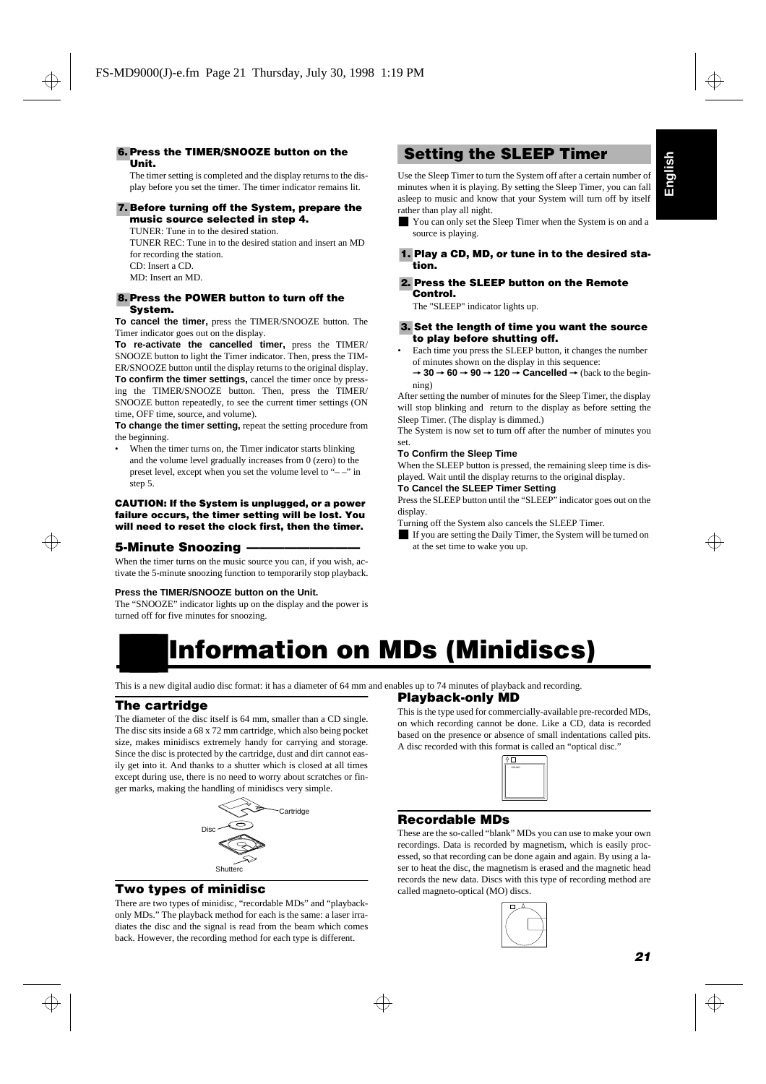#### **6. Press the TIMER/SNOOZE button on the Unit.**

The timer setting is completed and the display returns to the display before you set the timer. The timer indicator remains lit.

#### **7. Before turning off the System, prepare the music source selected in step 4.**

TUNER: Tune in to the desired station.

TUNER REC: Tune in to the desired station and insert an MD for recording the station.

CD: Insert a CD. MD: Insert an MD.

#### **8. Press the POWER button to turn off the System.**

**To cancel the timer,** press the TIMER/SNOOZE button. The Timer indicator goes out on the display.

**To re-activate the cancelled timer,** press the TIMER/ SNOOZE button to light the Timer indicator. Then, press the TIM-ER/SNOOZE button until the display returns to the original display. **To confirm the timer settings,** cancel the timer once by pressing the TIMER/SNOOZE button. Then, press the TIMER/ SNOOZE button repeatedly, to see the current timer settings (ON time, OFF time, source, and volume).

**To change the timer setting,** repeat the setting procedure from the beginning.

When the timer turns on, the Timer indicator starts blinking and the volume level gradually increases from 0 (zero) to the preset level, except when you set the volume level to "– –" in step 5.

#### **CAUTION: If the System is unplugged, or a power failure occurs, the timer setting will be lost. You will need to reset the clock first, then the timer.**

#### **5-Minute Snoozing**

When the timer turns on the music source you can, if you wish, activate the 5-minute snoozing function to temporarily stop playback.

#### **Press the TIMER/SNOOZE button on the Unit.**

The "SNOOZE" indicator lights up on the display and the power is turned off for five minutes for snoozing.

#### **Setting the SLEEP Timer**

Use the Sleep Timer to turn the System off after a certain number of minutes when it is playing. By setting the Sleep Timer, you can fall asleep to music and know that your System will turn off by itself rather than play all night.

■ You can only set the Sleep Timer when the System is on and a source is playing.

#### 1. Play a CD, MD, or tune in to the desired sta**tion.**

#### **2. Press the SLEEP button on the Remote Control.**

The "SLEEP" indicator lights up.

#### **3. Set the length of time you want the source to play before shutting off.**

Each time you press the SLEEP button, it changes the number of minutes shown on the display in this sequence:

 $\rightarrow 30 \rightarrow 60 \rightarrow 90 \rightarrow 120 \rightarrow$  **Cancelled**  $\rightarrow$  (back to the beginning)

After setting the number of minutes for the Sleep Timer, the display will stop blinking and return to the display as before setting the Sleep Timer. (The display is dimmed.)

The System is now set to turn off after the number of minutes you set.

#### **To Confirm the Sleep Time**

When the SLEEP button is pressed, the remaining sleep time is displayed. Wait until the display returns to the original display.

#### **To Cancel the SLEEP Timer Setting**

Press the SLEEP button until the "SLEEP" indicator goes out on the display.

Turning off the System also cancels the SLEEP Timer.

■ If you are setting the Daily Timer, the System will be turned on at the set time to wake you up.

## **Information on MDs (Minidiscs)**

This is a new digital audio disc format: it has a diameter of 64 mm and enables up to 74 minutes of playback and recording.

#### **The cartridge**

The diameter of the disc itself is 64 mm, smaller than a CD single. The disc sits inside a 68 x 72 mm cartridge, which also being pocket size, makes minidiscs extremely handy for carrying and storage. Since the disc is protected by the cartridge, dust and dirt cannot easily get into it. And thanks to a shutter which is closed at all times except during use, there is no need to worry about scratches or finger marks, making the handling of minidiscs very simple.



#### **Two types of minidisc**

There are two types of minidisc, "recordable MDs" and "playbackonly MDs." The playback method for each is the same: a laser irradiates the disc and the signal is read from the beam which comes back. However, the recording method for each type is different.

### **Playback-only MD**

This is the type used for commercially-available pre-recorded MDs, on which recording cannot be done. Like a CD, data is recorded based on the presence or absence of small indentations called pits. A disc recorded with this format is called an "optical disc."



#### **Recordable MDs**

These are the so-called "blank" MDs you can use to make your own recordings. Data is recorded by magnetism, which is easily processed, so that recording can be done again and again. By using a laser to heat the disc, the magnetism is erased and the magnetic head records the new data. Discs with this type of recording method are called magneto-optical (MO) discs.

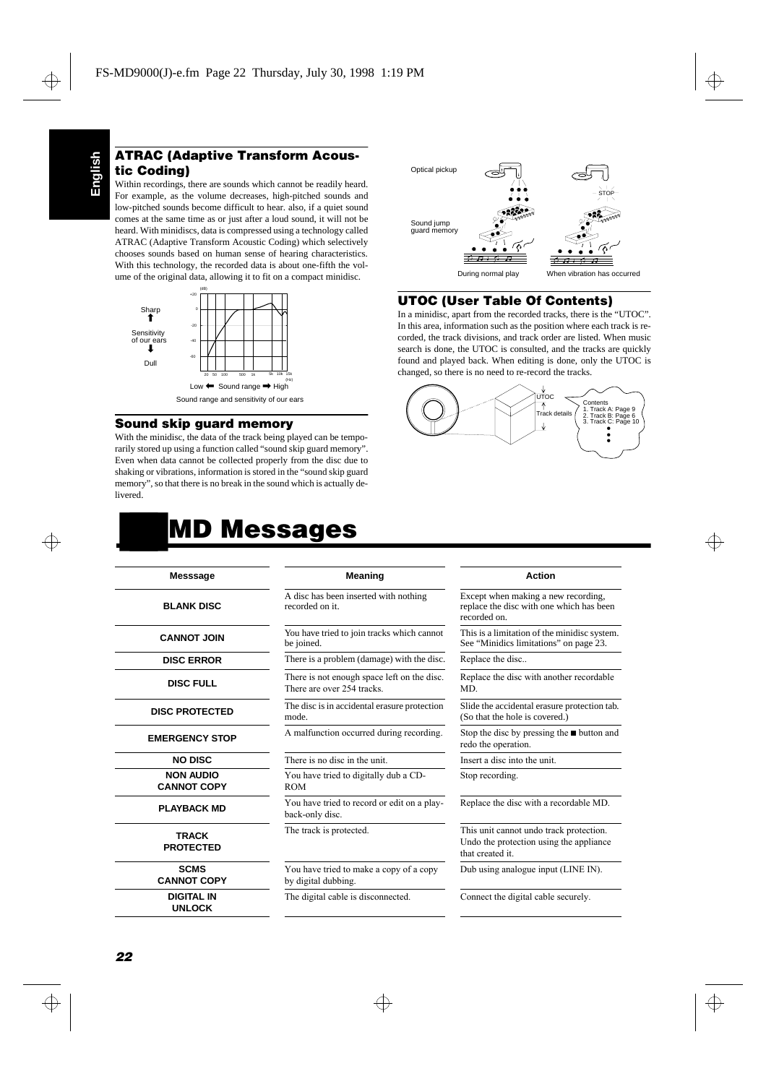#### **ATRAC (Adaptive Transform Acoustic Coding)**

Within recordings, there are sounds which cannot be readily heard. For example, as the volume decreases, high-pitched sounds and low-pitched sounds become difficult to hear. also, if a quiet sound comes at the same time as or just after a loud sound, it will not be heard. With minidiscs, data is compressed using a technology called ATRAC (Adaptive Transform Acoustic Coding) which selectively chooses sounds based on human sense of hearing characteristics. With this technology, the recorded data is about one-fifth the volume of the original data, allowing it to fit on a compact minidisc.



#### **Sound skip guard memory**

With the minidisc, the data of the track being played can be temporarily stored up using a function called "sound skip guard memory". Even when data cannot be collected properly from the disc due to shaking or vibrations, information is stored in the "sound skip guard memory", so that there is no break in the sound which is actually delivered.

## ■■ **MD Messages**



#### **UTOC (User Table Of Contents)**

In a minidisc, apart from the recorded tracks, there is the "UTOC". In this area, information such as the position where each track is recorded, the track divisions, and track order are listed. When music search is done, the UTOC is consulted, and the tracks are quickly found and played back. When editing is done, only the UTOC is changed, so there is no need to re-record the tracks.



| <b>Messsage</b>                        | <b>Meaning</b>                                                            | <b>Action</b><br>Except when making a new recording,<br>replace the disc with one which has been<br>recorded on. |  |
|----------------------------------------|---------------------------------------------------------------------------|------------------------------------------------------------------------------------------------------------------|--|
| <b>BLANK DISC</b>                      | A disc has been inserted with nothing<br>recorded on it.                  |                                                                                                                  |  |
| <b>CANNOT JOIN</b>                     | You have tried to join tracks which cannot<br>be joined.                  | This is a limitation of the minidisc system.<br>See "Minidics limitations" on page 23.                           |  |
| <b>DISC ERROR</b>                      | There is a problem (damage) with the disc.                                | Replace the disc                                                                                                 |  |
| <b>DISC FULL</b>                       | There is not enough space left on the disc.<br>There are over 254 tracks. | Replace the disc with another recordable<br>MD.                                                                  |  |
| <b>DISC PROTECTED</b>                  | The disc is in accidental erasure protection<br>mode.                     | Slide the accidental erasure protection tab.<br>(So that the hole is covered.)                                   |  |
| <b>EMERGENCY STOP</b>                  | A malfunction occurred during recording.                                  | Stop the disc by pressing the $\blacksquare$ button and<br>redo the operation.                                   |  |
| <b>NO DISC</b>                         | There is no disc in the unit.                                             | Insert a disc into the unit.                                                                                     |  |
| <b>NON AUDIO</b><br><b>CANNOT COPY</b> | You have tried to digitally dub a CD-<br><b>ROM</b>                       | Stop recording.                                                                                                  |  |
| <b>PLAYBACK MD</b>                     | You have tried to record or edit on a play-<br>back-only disc.            | Replace the disc with a recordable MD.                                                                           |  |
| <b>TRACK</b><br><b>PROTECTED</b>       | The track is protected.                                                   | This unit cannot undo track protection.<br>Undo the protection using the appliance<br>that created it.           |  |
| <b>SCMS</b><br><b>CANNOT COPY</b>      | You have tried to make a copy of a copy<br>by digital dubbing.            | Dub using analogue input (LINE IN).                                                                              |  |
| <b>DIGITAL IN</b><br><b>UNLOCK</b>     | The digital cable is disconnected.                                        | Connect the digital cable securely.                                                                              |  |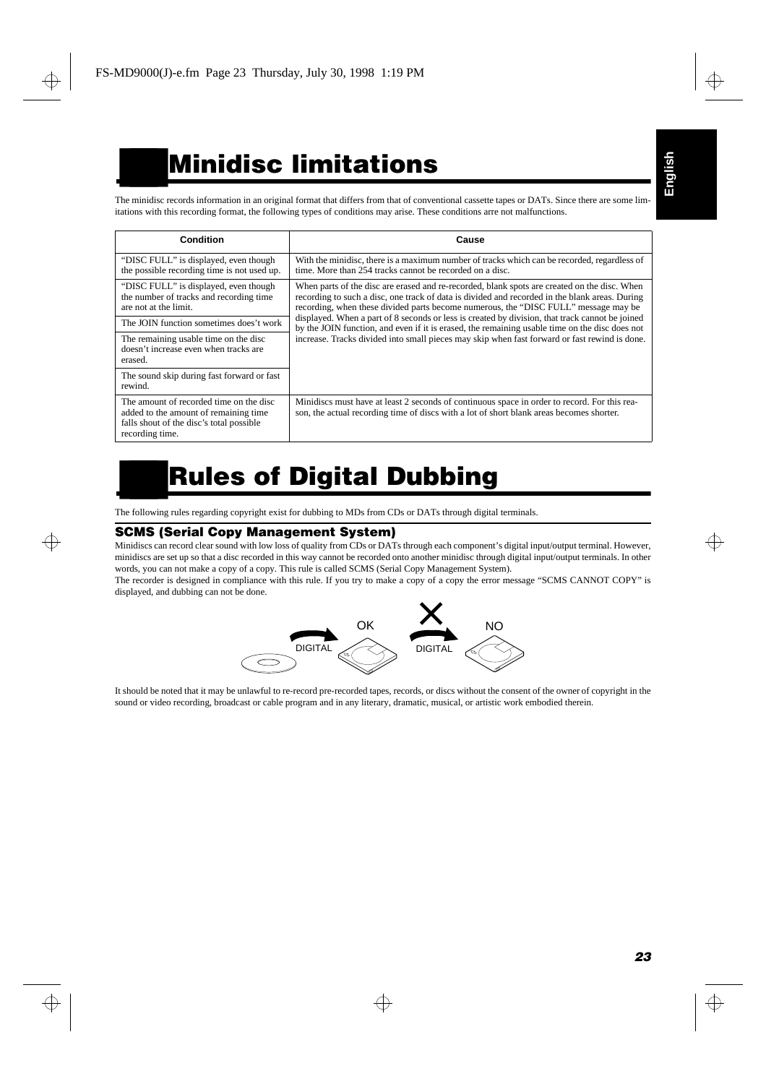### ■■ **Minidisc limitations**

The minidisc records information in an original format that differs from that of conventional cassette tapes or DATs. Since there are some limitations with this recording format, the following types of conditions may arise. These conditions arre not malfunctions.

| <b>Condition</b>                                                                                                                                | Cause                                                                                                                                                                                                                                                                                              |  |
|-------------------------------------------------------------------------------------------------------------------------------------------------|----------------------------------------------------------------------------------------------------------------------------------------------------------------------------------------------------------------------------------------------------------------------------------------------------|--|
| "DISC FULL" is displayed, even though<br>the possible recording time is not used up.                                                            | With the minidisc, there is a maximum number of tracks which can be recorded, regardless of<br>time. More than 254 tracks cannot be recorded on a disc.                                                                                                                                            |  |
| "DISC FULL" is displayed, even though<br>the number of tracks and recording time<br>are not at the limit.                                       | When parts of the disc are erased and re-recorded, blank spots are created on the disc. When<br>recording to such a disc, one track of data is divided and recorded in the blank areas. During<br>recording, when these divided parts become numerous, the "DISC FULL" message may be              |  |
| The JOIN function sometimes does't work                                                                                                         | displayed. When a part of 8 seconds or less is created by division, that track cannot be joined<br>by the JOIN function, and even if it is erased, the remaining usable time on the disc does not<br>increase. Tracks divided into small pieces may skip when fast forward or fast rewind is done. |  |
| The remaining usable time on the disc<br>doesn't increase even when tracks are<br>erased.                                                       |                                                                                                                                                                                                                                                                                                    |  |
| The sound skip during fast forward or fast<br>rewind.                                                                                           |                                                                                                                                                                                                                                                                                                    |  |
| The amount of recorded time on the disc<br>added to the amount of remaining time<br>falls shout of the disc's total possible<br>recording time. | Minidiscs must have at least 2 seconds of continuous space in order to record. For this rea-<br>son, the actual recording time of discs with a lot of short blank areas becomes shorter.                                                                                                           |  |

## **Rules of Digital Dubbing**

The following rules regarding copyright exist for dubbing to MDs from CDs or DATs through digital terminals.

#### **SCMS (Serial Copy Management System)**

Minidiscs can record clear sound with low loss of quality from CDs or DATs through each component's digital input/output terminal. However, minidiscs are set up so that a disc recorded in this way cannot be recorded onto another minidisc through digital input/output terminals. In other words, you can not make a copy of a copy. This rule is called SCMS (Serial Copy Management System).

The recorder is designed in compliance with this rule. If you try to make a copy of a copy the error message "SCMS CANNOT COPY" is displayed, and dubbing can not be done.



It should be noted that it may be unlawful to re-record pre-recorded tapes, records, or discs without the consent of the owner of copyright in the sound or video recording, broadcast or cable program and in any literary, dramatic, musical, or artistic work embodied therein.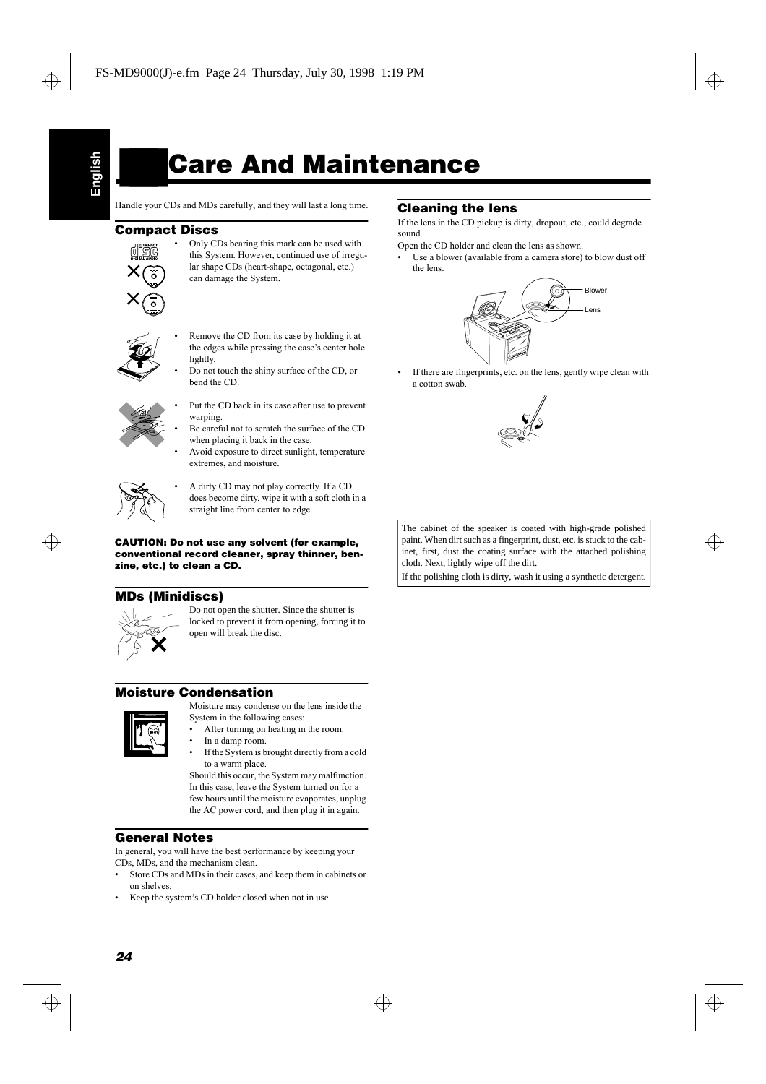# **English**

## **Care And Maintenance**

Handle your CDs and MDs carefully, and they will last a long time.

#### **Compact Discs**



Only CDs bearing this mark can be used with this System. However, continued use of irregular shape CDs (heart-shape, octagonal, etc.) can damage the System.



Remove the CD from its case by holding it at the edges while pressing the case's center hole lightly.

Do not touch the shiny surface of the CD, or bend the CD.



- Put the CD back in its case after use to prevent warping.
- Be careful not to scratch the surface of the CD when placing it back in the case.
- Avoid exposure to direct sunlight, temperature extremes, and moisture.



A dirty CD may not play correctly. If a CD does become dirty, wipe it with a soft cloth in a straight line from center to edge.

**CAUTION: Do not use any solvent (for example, conventional record cleaner, spray thinner, benzine, etc.) to clean a CD.**

#### **MDs (Minidiscs)**



Do not open the shutter. Since the shutter is locked to prevent it from opening, forcing it to open will break the disc.

#### **Moisture Condensation**



Moisture may condense on the lens inside the System in the following cases:

- After turning on heating in the room.
- In a damp room.
- If the System is brought directly from a cold to a warm place.

Should this occur, the System may malfunction. In this case, leave the System turned on for a few hours until the moisture evaporates, unplug the AC power cord, and then plug it in again.

#### **General Notes**

In general, you will have the best performance by keeping your CDs, MDs, and the mechanism clean.

- Store CDs and MDs in their cases, and keep them in cabinets or on shelves.
- Keep the system's CD holder closed when not in use.

#### **Cleaning the lens**

If the lens in the CD pickup is dirty, dropout, etc., could degrade sound

Open the CD holder and clean the lens as shown.

Use a blower (available from a camera store) to blow dust off the lens.



If there are fingerprints, etc. on the lens, gently wipe clean with a cotton swab.



The cabinet of the speaker is coated with high-grade polished paint. When dirt such as a fingerprint, dust, etc. is stuck to the cabinet, first, dust the coating surface with the attached polishing cloth. Next, lightly wipe off the dirt.

If the polishing cloth is dirty, wash it using a synthetic detergent.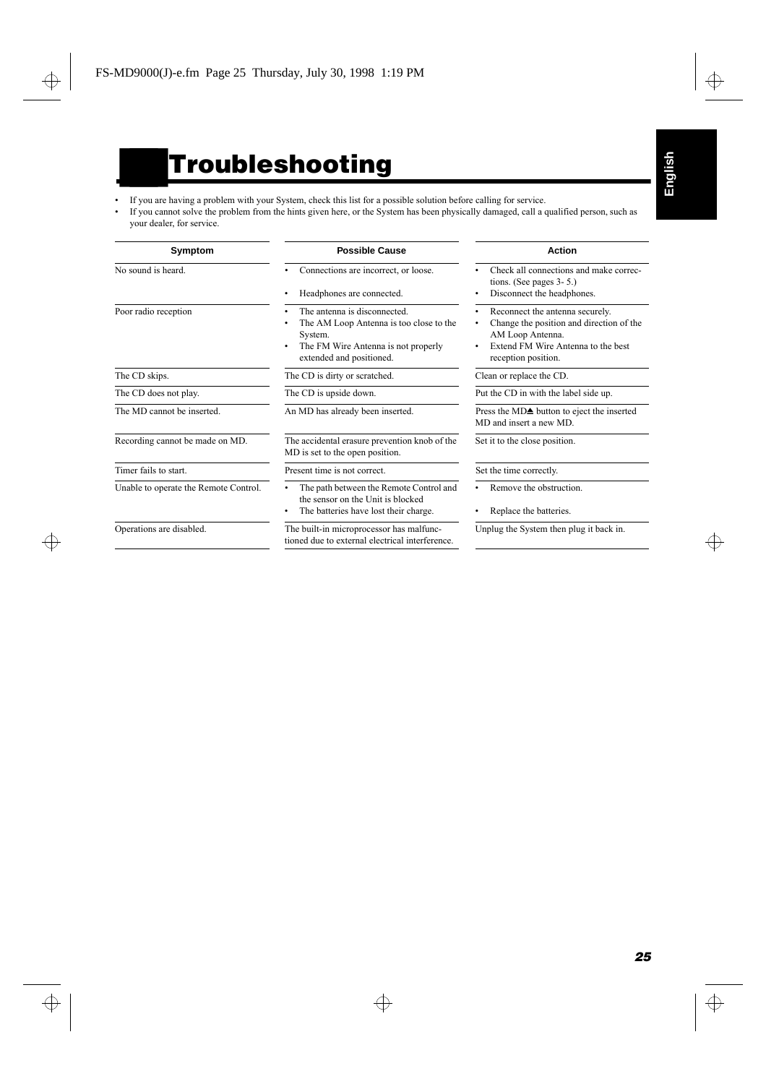## **Troubleshooting**

■■

- If you are having a problem with your System, check this list for a possible solution before calling for service.
- If you cannot solve the problem from the hints given here, or the System has been physically damaged, call a qualified person, such as your dealer, for service.

| <b>Symptom</b>                        | <b>Possible Cause</b>                                                                                                                                 | <b>Action</b>                                                                                                                                                                  |  |
|---------------------------------------|-------------------------------------------------------------------------------------------------------------------------------------------------------|--------------------------------------------------------------------------------------------------------------------------------------------------------------------------------|--|
| No sound is heard.                    | Connections are incorrect, or loose.                                                                                                                  | Check all connections and make correc-<br>tions. (See pages 3-5.)                                                                                                              |  |
|                                       | Headphones are connected.                                                                                                                             | Disconnect the headphones.<br>٠                                                                                                                                                |  |
| Poor radio reception                  | The antenna is disconnected.<br>The AM Loop Antenna is too close to the<br>System.<br>The FM Wire Antenna is not properly<br>extended and positioned. | Reconnect the antenna securely.<br>$\bullet$<br>Change the position and direction of the<br>٠<br>AM Loop Antenna.<br>Extend FM Wire Antenna to the best<br>reception position. |  |
| The CD skips.                         | The CD is dirty or scratched.                                                                                                                         | Clean or replace the CD.                                                                                                                                                       |  |
| The CD does not play.                 | The CD is upside down.                                                                                                                                | Put the CD in with the label side up.                                                                                                                                          |  |
| The MD cannot be inserted.            | An MD has already been inserted.                                                                                                                      |                                                                                                                                                                                |  |
| Recording cannot be made on MD.       | The accidental erasure prevention knob of the<br>MD is set to the open position.                                                                      | Set it to the close position.                                                                                                                                                  |  |
| Timer fails to start.                 | Present time is not correct.                                                                                                                          | Set the time correctly.                                                                                                                                                        |  |
| Unable to operate the Remote Control. | The path between the Remote Control and<br>the sensor on the Unit is blocked                                                                          | Remove the obstruction.<br>٠                                                                                                                                                   |  |
|                                       | The batteries have lost their charge.                                                                                                                 | Replace the batteries.                                                                                                                                                         |  |
| Operations are disabled.              | The built-in microprocessor has malfunc-<br>tioned due to external electrical interference.                                                           |                                                                                                                                                                                |  |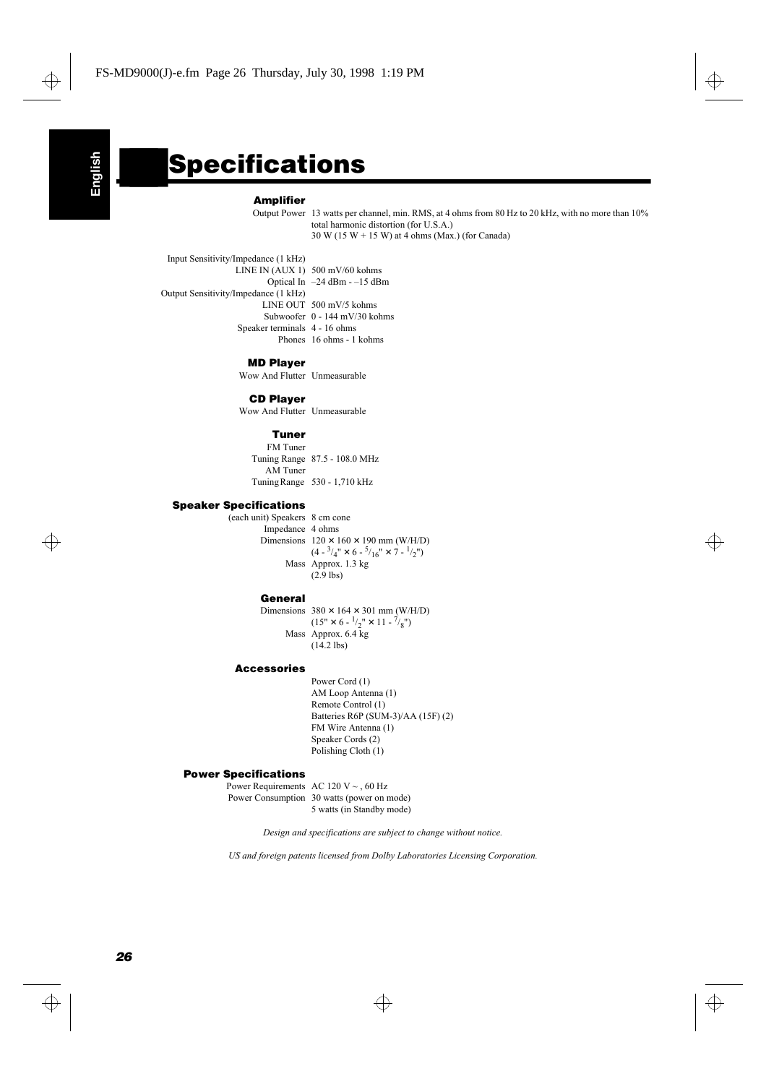## ■■**Specifications**

#### **Amplifier**

Output Power 13 watts per channel, min. RMS, at 4 ohms from 80 Hz to 20 kHz, with no more than 10% total harmonic distortion (for U.S.A.)

 $30 W (15 W + 15 W)$  at 4 ohms (Max.) (for Canada)

Input Sensitivity/Impedance (1 kHz) LINE IN  $(AUX 1)$  500 mV/60 kohms Optical In  $-24$  dBm -  $-15$  dBm Output Sensitivity/Impedance (1 kHz) LINE OUT 500 mV/5 kohms Subwoofer 0 - 144 mV/30 kohms Speaker terminals 4 - 16 ohms Phones 16 ohms - 1 kohms

#### **MD Player**

Wow And Flutter Unmeasurable

#### **CD Player**

Wow And Flutter Unmeasurable

#### **Tuner**

FM Tuner Tuning Range  $87.5 - 108.0$  MHz AM Tuner Tuning Range  $530 - 1,710$  kHz

#### **Speaker Specifications**

(each unit) Speakers 8 cm cone Impedance 4 ohms Dimensions  $120 \times 160 \times 190$  mm (W/H/D)  $(4 - {^{3}}/_{4}$ " X 6 -  ${^{5}}/_{16}$ " X 7 -  ${^{1}}/_{2}$ ") Mass Approx. 1.3 kg  $(2.9$  lbs)

#### **General**

Dimensions  $380 \times 164 \times 301$  mm (W/H/D)  $(15"\times 6 - \frac{1}{2}" \times 11 - \frac{7}{8})$ Mass Approx. 6.4 kg  $(14.2$  lbs)

#### **Accessories**

Power Cord (1) AM Loop Antenna (1) Remote Control (1) Batteries R6P (SUM-3)/AA (15F) (2) FM Wire Antenna (1) Speaker Cords (2) Polishing Cloth (1)

#### **Power Specifications**

Power Requirements  $AC 120 V ~ 0.60 Hz$ Power Consumption 30 watts (power on mode) 5 watts (in Standby mode)

Design and specifications are subject to change without notice.

US and foreign patents licensed from Dolby Laboratories Licensing Corporation.